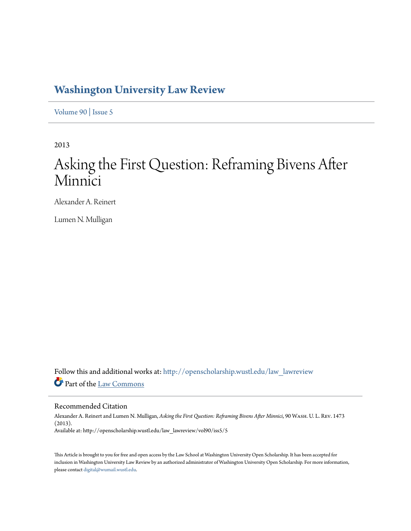## **[Washington University Law Review](http://openscholarship.wustl.edu/law_lawreview?utm_source=openscholarship.wustl.edu%2Flaw_lawreview%2Fvol90%2Fiss5%2F5&utm_medium=PDF&utm_campaign=PDFCoverPages)**

[Volume 90](http://openscholarship.wustl.edu/law_lawreview/vol90?utm_source=openscholarship.wustl.edu%2Flaw_lawreview%2Fvol90%2Fiss5%2F5&utm_medium=PDF&utm_campaign=PDFCoverPages) | [Issue 5](http://openscholarship.wustl.edu/law_lawreview/vol90/iss5?utm_source=openscholarship.wustl.edu%2Flaw_lawreview%2Fvol90%2Fiss5%2F5&utm_medium=PDF&utm_campaign=PDFCoverPages)

2013

# Asking the First Question: Reframing Bivens After Minnici

Alexander A. Reinert

Lumen N. Mulligan

Follow this and additional works at: [http://openscholarship.wustl.edu/law\\_lawreview](http://openscholarship.wustl.edu/law_lawreview?utm_source=openscholarship.wustl.edu%2Flaw_lawreview%2Fvol90%2Fiss5%2F5&utm_medium=PDF&utm_campaign=PDFCoverPages) Part of the [Law Commons](http://network.bepress.com/hgg/discipline/578?utm_source=openscholarship.wustl.edu%2Flaw_lawreview%2Fvol90%2Fiss5%2F5&utm_medium=PDF&utm_campaign=PDFCoverPages)

#### Recommended Citation

Alexander A. Reinert and Lumen N. Mulligan, *Asking the First Question: Reframing Bivens After Minnici*, 90 Wash. U. L. Rev. 1473 (2013). Available at: http://openscholarship.wustl.edu/law\_lawreview/vol90/iss5/5

This Article is brought to you for free and open access by the Law School at Washington University Open Scholarship. It has been accepted for inclusion in Washington University Law Review by an authorized administrator of Washington University Open Scholarship. For more information, please contact [digital@wumail.wustl.edu.](mailto:digital@wumail.wustl.edu)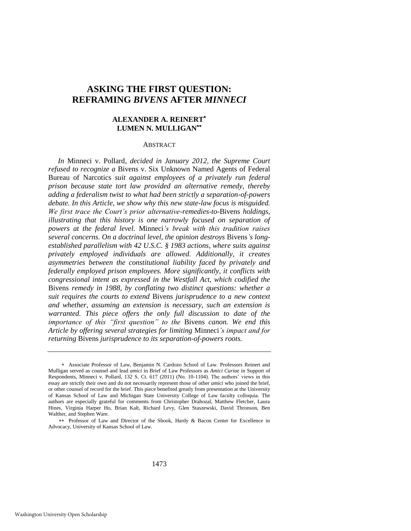## **ASKING THE FIRST QUESTION: REFRAMING** *BIVENS* **AFTER** *MINNECI*

#### **ALEXANDER A. REINERT LUMEN N. MULLIGAN**

#### ABSTRACT

*In* Minneci v. Pollard*, decided in January 2012, the Supreme Court refused to recognize a* Bivens v. Six Unknown Named Agents of Federal Bureau of Narcotics *suit against employees of a privately run federal prison because state tort law provided an alternative remedy, thereby adding a federalism twist to what had been strictly a separation-of-powers debate. In this Article, we show why this new state-law focus is misguided. We first trace the Court's prior alternative-remedies-to-*Bivens *holdings, illustrating that this history is one narrowly focused on separation of powers at the federal level.* Minneci*'s break with this tradition raises several concerns. On a doctrinal level, the opinion destroys* Bivens*'s longestablished parallelism with 42 U.S.C. § 1983 actions, where suits against privately employed individuals are allowed. Additionally, it creates asymmetries between the constitutional liability faced by privately and federally employed prison employees. More significantly, it conflicts with congressional intent as expressed in the Westfall Act, which codified the*  Bivens *remedy in 1988, by conflating two distinct questions: whether a suit requires the courts to extend* Bivens *jurisprudence to a new context and whether, assuming an extension is necessary, such an extension is warranted. This piece offers the only full discussion to date of the importance of this "first question" to the* Bivens *canon. We end this Article by offering several strategies for limiting* Minneci*'s impact and for returning* Bivens *jurisprudence to its separation-of-powers roots.* 

Associate Professor of Law, Benjamin N. Cardozo School of Law. Professors Reinert and Mulligan served as counsel and lead *amici* in Brief of Law Professors as *Amici Curiae* in Support of Respondents, Minneci v. Pollard, 132 S. Ct. 617 (2011) (No. 10-1104). The authors' views in this essay are strictly their own and do not necessarily represent those of other *amici* who joined the brief, or other counsel of record for the brief. This piece benefited greatly from presentation at the University of Kansas School of Law and Michigan State University College of Law faculty colloquia. The authors are especially grateful for comments from Christopher Drahozal, Matthew Fletcher, Laura Hines, Virginia Harper Ho, Brian Kalt, Richard Levy, Glen Staszewski, David Thronson, Ben Walther, and Stephen Ware.

Professor of Law and Director of the Shook, Hardy & Bacon Center for Excellence in Advocacy, University of Kansas School of Law.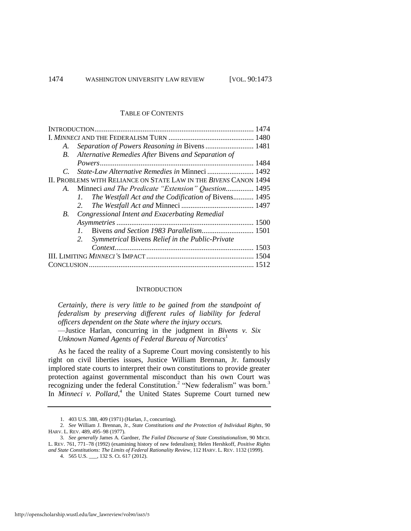#### TABLE OF CONTENTS

| A.                                                               |                                                            |  |
|------------------------------------------------------------------|------------------------------------------------------------|--|
| B.                                                               | Alternative Remedies After Bivens and Separation of        |  |
|                                                                  |                                                            |  |
| $C_{\cdot}$                                                      | State-Law Alternative Remedies in Minneci  1492            |  |
| II. PROBLEMS WITH RELIANCE ON STATE LAW IN THE BIVENS CANON 1494 |                                                            |  |
|                                                                  | A. Minneci and The Predicate "Extension" Question 1495     |  |
|                                                                  | The Westfall Act and the Codification of Bivens 1495<br>1. |  |
|                                                                  |                                                            |  |
| B.                                                               | Congressional Intent and Exacerbating Remedial             |  |
|                                                                  |                                                            |  |
|                                                                  | 1. Bivens and Section 1983 Parallelism 1501                |  |
|                                                                  | Symmetrical Bivens Relief in the Public-Private<br>2.      |  |
|                                                                  |                                                            |  |
|                                                                  |                                                            |  |
|                                                                  |                                                            |  |

#### **INTRODUCTION**

*Certainly, there is very little to be gained from the standpoint of federalism by preserving different rules of liability for federal officers dependent on the State where the injury occurs.*  —Justice Harlan, concurring in the judgment in *Bivens v. Six Unknown Named Agents of Federal Bureau of Narcotics*<sup>1</sup>

As he faced the reality of a Supreme Court moving consistently to his right on civil liberties issues, Justice William Brennan, Jr. famously implored state courts to interpret their own constitutions to provide greater protection against governmental misconduct than his own Court was recognizing under the federal Constitution.<sup>2</sup> "New federalism" was born.<sup>3</sup> In *Minneci v. Pollard*,<sup>4</sup> the United States Supreme Court turned new

<sup>1. 403</sup> U.S. 388, 409 (1971) (Harlan, J., concurring).

<sup>2.</sup> *See* William J. Brennan, Jr., *State Constitutions and the Protection of Individual Rights*, 90 HARV. L. REV. 489, 495–98 (1977).

<sup>3.</sup> *See generally* James A. Gardner, *The Failed Discourse of State Constitutionalism*, 90 MICH. L. REV. 761, 771–78 (1992) (examining history of new federalism); Helen Hershkoff, *Positive Rights and State Constitutions: The Limits of Federal Rationality Review*, 112 HARV. L. REV. 1132 (1999). 4. 565 U.S. \_\_\_, 132 S. Ct. 617 (2012).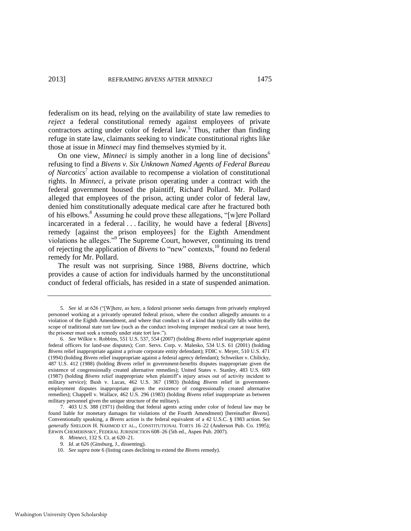federalism on its head, relying on the availability of state law remedies to *reject* a federal constitutional remedy against employees of private contractors acting under color of federal law.<sup>5</sup> Thus, rather than finding refuge in state law, claimants seeking to vindicate constitutional rights like those at issue in *Minneci* may find themselves stymied by it.

<span id="page-3-0"></span>On one view, *Minneci* is simply another in a long line of decisions<sup>6</sup> refusing to find a *Bivens v. Six Unknown Named Agents of Federal Bureau*  of Narcotics<sup>7</sup> action available to recompense a violation of constitutional rights. In *Minneci*, a private prison operating under a contract with the federal government housed the plaintiff, Richard Pollard. Mr. Pollard alleged that employees of the prison, acting under color of federal law, denied him constitutionally adequate medical care after he fractured both of his elbows.<sup>8</sup> Assuming he could prove these allegations, "[w]ere Pollard incarcerated in a federal . . . facility, he would have a federal [*Bivens*] remedy [against the prison employees] for the Eighth Amendment violations he alleges."<sup>9</sup> The Supreme Court, however, continuing its trend of rejecting the application of *Bivens* to "new" contexts,<sup>10</sup> found no federal remedy for Mr. Pollard.

The result was not surprising. Since 1988, *Bivens* doctrine, which provides a cause of action for individuals harmed by the unconstitutional conduct of federal officials, has resided in a state of suspended animation.

<sup>5.</sup> *See id.* at 626 ("[W]here, as here, a federal prisoner seeks damages from privately employed personnel working at a privately operated federal prison, where the conduct allegedly amounts to a violation of the Eighth Amendment, and where that conduct is of a kind that typically falls within the scope of traditional state tort law (such as the conduct involving improper medical care at issue here), the prisoner must seek a remedy under state tort law.").

<sup>6.</sup> *See* Wilkie v. Robbins, 551 U.S. 537, 554 (2007) (holding *Bivens* relief inappropriate against federal officers for land-use disputes); Corr. Servs. Corp. v. Malesko, 534 U.S. 61 (2001) (holding *Bivens* relief inappropriate against a private corporate entity defendant); FDIC v. Meyer, 510 U.S. 471 (1994) (holding *Bivens* relief inappropriate against a federal agency defendant); Schweiker v. Chilicky, 487 U.S. 412 (1988) (holding *Bivens* relief in government-benefits disputes inappropriate given the existence of congressionally created alternative remedies); United States v. Stanley, 483 U.S. 669 (1987) (holding *Bivens* relief inappropriate when plaintiff's injury arises out of activity incident to military service); Bush v. Lucas, 462 U.S. 367 (1983) (holding *Bivens* relief in governmentemployment disputes inappropriate given the existence of congressionally created alternative remedies); Chappell v. Wallace, 462 U.S. 296 (1983) (holding *Bivens* relief inappropriate as between military personnel given the unique structure of the military).

<sup>7. 403</sup> U.S. 388 (1971) (holding that federal agents acting under color of federal law may be found liable for monetary damages for violations of the Fourth Amendment) [hereinafter *Bivens*]. Conventionally speaking, a *Bivens* action is the federal equivalent of a 42 U.S.C. § 1983 action. *See generally* SHELDON H. NAHMOD ET AL., CONSTITUTIONAL TORTS 16–22 (Anderson Pub. Co. 1995); ERWIN CHEMERINSKY, FEDERAL JURISDICTION 608–26 (5th ed., Aspen Pub. 2007).

<sup>8.</sup> *Minneci*, 132 S. Ct. at 620–21.

<sup>9.</sup> *Id*. at 626 (Ginsburg, J., dissenting).

<sup>10.</sup> *See supra* not[e 6 \(](#page-3-0)listing cases declining to extend the *Bivens* remedy).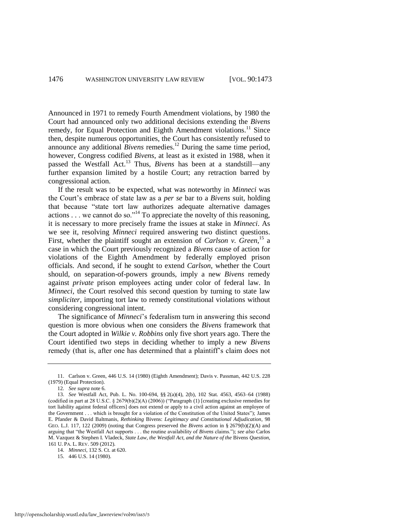Announced in 1971 to remedy Fourth Amendment violations, by 1980 the Court had announced only two additional decisions extending the *Bivens* remedy, for Equal Protection and Eighth Amendment violations.<sup>11</sup> Since then, despite numerous opportunities, the Court has consistently refused to announce any additional *Bivens* remedies.<sup>12</sup> During the same time period, however, Congress codified *Bivens*, at least as it existed in 1988, when it passed the Westfall Act.<sup>13</sup> Thus, *Bivens* has been at a standstill—any further expansion limited by a hostile Court; any retraction barred by congressional action.

<span id="page-4-0"></span>If the result was to be expected, what was noteworthy in *Minneci* was the Court's embrace of state law as a *per se* bar to a *Bivens* suit, holding that because "state tort law authorizes adequate alternative damages actions  $\dots$  we cannot do so."<sup>14</sup> To appreciate the novelty of this reasoning, it is necessary to more precisely frame the issues at stake in *Minneci*. As we see it, resolving *Minneci* required answering two distinct questions. First, whether the plaintiff sought an extension of *Carlson v. Green*,<sup>15</sup> a case in which the Court previously recognized a *Bivens* cause of action for violations of the Eighth Amendment by federally employed prison officials. And second, if he sought to extend *Carlson*, whether the Court should, on separation-of-powers grounds, imply a new *Bivens* remedy against *private* prison employees acting under color of federal law. In *Minneci*, the Court resolved this second question by turning to state law *simpliciter*, importing tort law to remedy constitutional violations without considering congressional intent.

The significance of *Minneci*'s federalism turn in answering this second question is more obvious when one considers the *Bivens* framework that the Court adopted in *Wilkie v. Robbins* only five short years ago. There the Court identified two steps in deciding whether to imply a new *Bivens* remedy (that is, after one has determined that a plaintiff's claim does not

<sup>11.</sup> Carlson v. Green, 446 U.S. 14 (1980) (Eighth Amendment); Davis v. Passman, 442 U.S. 228 (1979) (Equal Protection).

<sup>12</sup>*. See supra* not[e 6.](#page-3-0) 

<sup>13.</sup> *See* Westfall Act, Pub. L. No. 100-694, §§ 2(a)(4), 2(b), 102 Stat. 4563, 4563–64 (1988) (codified in part at 28 U.S.C. § 2679(b)(2)(A) (2006)) ("Paragraph (1) [creating exclusive remedies for tort liability against federal officers] does not extend or apply to a civil action against an employee of the Government . . . which is brought for a violation of the Constitution of the United States"); James E. Pfander & David Baltmanis, *Rethinking* Bivens: *Legitimacy and Constitutional Adjudication*, 98 GEO. L.J. 117, 122 (2009) (noting that Congress preserved the *Bivens* action in § 2679(b)(2)(A) and arguing that "the Westfall Act supports . . . the routine availability of *Bivens* claims."); see also Carlos M. Vazquez & Stephen I. Vladeck, *State Law, the Westfall Act, and the Nature of the* Bivens *Question*, 161 U. PA. L. REV. 509 (2012).

<sup>14.</sup> *Minneci*, 132 S. Ct. at 620.

<sup>15. 446</sup> U.S. 14 (1980).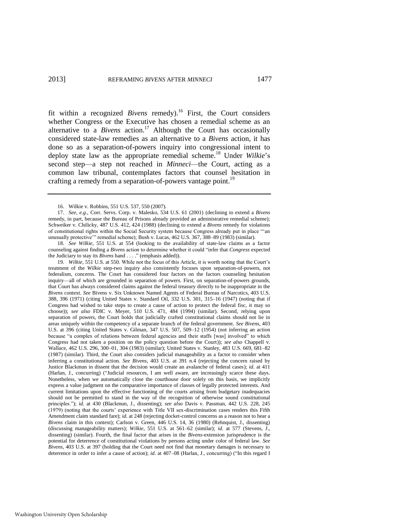fit within a recognized *Bivens* remedy).<sup>16</sup> First, the Court considers whether Congress or the Executive has chosen a remedial scheme as an alternative to a *Bivens* action.<sup>17</sup> Although the Court has occasionally considered state-law remedies as an alternative to a *Bivens* action, it has done so as a separation-of-powers inquiry into congressional intent to deploy state law as the appropriate remedial scheme.<sup>18</sup> Under *Wilkie*'s second step—a step not reached in *Minneci*—the Court, acting as a common law tribunal, contemplates factors that counsel hesitation in crafting a remedy from a separation-of-powers vantage point.<sup>19</sup>

19. *Wilkie*, 551 U.S. at 550. While not the focus of this Article, it is worth noting that the Court's treatment of the *Wilkie* step-two inquiry also consistently focuses upon separation-of-powers, not federalism, concerns. The Court has considered four factors on the factors counseling hesitation inquiry—all of which are grounded in separation of powers. First, on separation-of-powers grounds, that Court has always considered claims against the federal treasury directly to be inappropriate in the *Bivens* context. *See* Bivens v. Six Unknown Named Agents of Federal Bureau of Narcotics, 403 U.S. 388, 396 (1971) (citing United States v. Standard Oil, 332 U.S. 301, 315–16 (1947) (noting that if Congress had wished to take steps to create a cause of action to protect the federal fisc, it may so choose)); *see also* FDIC v. Meyer, 510 U.S. 471, 484 (1994) (similar). Second, relying upon separation of powers, the Court holds that judicially crafted constitutional claims should not lie in areas uniquely within the competency of a separate branch of the federal government. *See Bivens*, 403 U.S. at 396 (citing United States v. Gilman, 347 U.S. 507, 509–12 (1954) (not inferring an action because "a complex of relations between federal agencies and their staffs [was] involved" to which Congress had not taken a position on the policy question before the Court)); *see also* Chappell v. Wallace, 462 U.S. 296, 300–01, 304 (1983) (similar); United States v. Stanley, 483 U.S. 669, 681–82 (1987) (similar). Third, the Court also considers judicial manageability as a factor to consider when inferring a constitutional action. *See Bivens*, 403 U.S. at 391 n.4 (rejecting the concern raised by Justice Blackmun in dissent that the decision would create an avalanche of federal cases); *id*. at 411 (Harlan, J., concurring) ("Judicial resources, I am well aware, are increasingly scarce these days. Nonetheless, when we automatically close the courthouse door solely on this basis, we implicitly express a value judgment on the comparative importance of classes of legally protected interests. And current limitations upon the effective functioning of the courts arising from budgetary inadequacies should not be permitted to stand in the way of the recognition of otherwise sound constitutional principles.‖); *id*. at 430 (Blackmun, J., dissenting); *see also* Davis v. Passman, 442 U.S. 228, 245 (1979) (noting that the courts' experience with Title VII sex-discrimination cases renders this Fifth Amendment claim standard fare); *id*. at 248 (rejecting docket-control concerns as a reason not to hear a *Bivens* claim in this context); Carlson v. Green, 446 U.S. 14, 36 (1980) (Rehnquist, J., dissenting) (discussing manageability matters); *Wilkie*, 551 U.S. at 561–62 (similar); *id*. at 577 (Stevens, J., dissenting) (similar). Fourth, the final factor that arises in the *Bivens*-extension jurisprudence is the potential for deterrence of constitutional violations by persons acting under color of federal law. *See Bivens*, 403 U.S. at 397 (holding that the Court need not find that monetary damages is necessary to deterrence in order to infer a cause of action); *id.* at 407–08 (Harlan, J., concurring) ("In this regard I

<span id="page-5-0"></span><sup>16.</sup> Wilkie v. Robbins, 551 U.S. 537, 550 (2007).

<sup>17.</sup> *See, e.g*., Corr. Servs. Corp. v. Malesko, 534 U.S. 61 (2001) (declining to extend a *Bivens* remedy, in part, because the Bureau of Prisons already provided an administrative remedial scheme); Schweiker v. Chilicky, 487 U.S. 412, 424 (1988) (declining to extend a *Bivens* remedy for violations of constitutional rights within the Social Security system because Congress already put in place "an unusually protective" remedial scheme); Bush v. Lucas, 462 U.S. 367, 388–89 (1983) (similar).

<sup>18.</sup> *See Wilkie*, 551 U.S. at 554 (looking to the availability of state-law claims as a factor counseling against finding a *Bivens* action to determine whether it could "infer that *Congress* expected the Judiciary to stay its *Bivens* hand . . . ." (emphasis added)).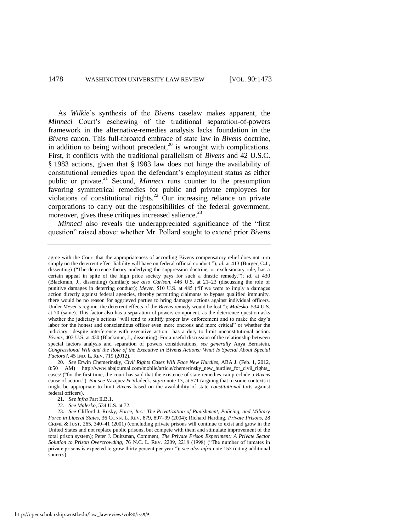As *Wilkie*'s synthesis of the *Bivens* caselaw makes apparent, the *Minneci* Court's eschewing of the traditional separation-of-powers framework in the alternative-remedies analysis lacks foundation in the *Bivens* canon. This full-throated embrace of state law in *Bivens* doctrine, in addition to being without precedent, $^{20}$  is wrought with complications. First, it conflicts with the traditional parallelism of *Bivens* and 42 U.S.C. § 1983 actions, given that § 1983 law does not hinge the availability of constitutional remedies upon the defendant's employment status as either public or private.<sup>21</sup> Second, *Minneci* runs counter to the presumption favoring symmetrical remedies for public and private employees for violations of constitutional rights.<sup>22</sup> Our increasing reliance on private corporations to carry out the responsibilities of the federal government, moreover, gives these critiques increased salience. $^{23}$ 

*Minneci* also reveals the underappreciated significance of the "first" question" raised above: whether Mr. Pollard sought to extend prior *Bivens* 

agree with the Court that the appropriateness of according Bivens compensatory relief does not turn simply on the deterrent effect liability will have on federal official conduct."); *id.* at 413 (Burger, C.J., dissenting) ("The deterrence theory underlying the suppression doctrine, or exclusionary rule, has a certain appeal in spite of the high price society pays for such a drastic remedy.‖); *id*. at 430 (Blackmun, J., dissenting) (similar); *see also Carlson*, 446 U.S. at 21–23 (discussing the role of punitive damages in deterring conduct); *Meyer*, 510 U.S. at 485 ("If we were to imply a damages action directly against federal agencies, thereby permitting claimants to bypass qualified immunity, there would be no reason for aggrieved parties to bring damages actions against individual officers. Under *Meyer*'s regime, the deterrent effects of the *Bivens* remedy would be lost."); *Malesko*, 534 U.S. at 70 (same). This factor also has a separation-of-powers component, as the deterrence question asks whether the judiciary's actions "will tend to stultify proper law enforcement and to make the day's labor for the honest and conscientious officer even more onerous and more critical" or whether the judiciary—despite interference with executive action—has a duty to limit unconstitutional action. *Bivens*, 403 U.S. at 430 (Blackmun, J., dissenting). For a useful discussion of the relationship between special factors analysis and separation of powers considerations, *see generally* Anya Bernstein, *Congressional Will and the Role of the Executive in* Bivens *Actions: What Is Special About Special Factors?*, 45 IND. L. REV. 719 (2012).

<sup>20.</sup> *See* Erwin Chemerinsky, *Civil Rights Cases Will Face New Hurdles*, ABA J. (Feb. 1, 2012, 8:50 AM) http://www.abajournal.com/mobile/article/chemerinsky\_new\_hurdles\_for\_civil\_rights\_ cases/ ("for the first time, the court has said that the existence of state remedies can preclude a *Bivens* cause of action.‖). *But see* Vazquez & Vladeck, *supra* not[e 13,](#page-4-0) at 571 (arguing that in some contexts it might be appropriate to limit *Bivens* based on the availability of state *constitutional* torts against federal officers).

<sup>21.</sup> *See infra* Part II.B.1.

<sup>22</sup>*. See Malesko*, 534 U.S. at 72.

<sup>23.</sup> *See* Clifford J. Rosky, *Force, Inc.: The Privatization of Punishment, Policing, and Military Force in Liberal States*, 36 CONN. L. REV. 879, 897–99 (2004); Richard Harding, *Private Prisons*, 28 CRIME & JUST. 265, 340–41 (2001) (concluding private prisons will continue to exist and grow in the United States and not replace public prisons, but compete with them and stimulate improvement of the total prison system); Peter J. Duitsman, Comment, *The Private Prison Experiment: A Private Sector Solution to Prison Overcrowding*, 76 N.C. L. REV. 2209, 2218 (1998) ("The number of inmates in private prisons is expected to grow thirty percent per year.‖); *see also infra* not[e 153](#page-30-0) (citing additional sources).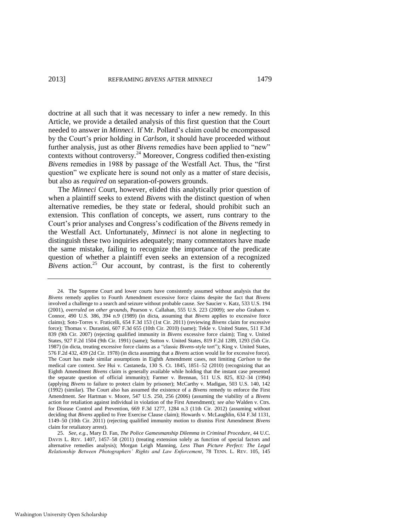doctrine at all such that it was necessary to infer a new remedy. In this Article, we provide a detailed analysis of this first question that the Court needed to answer in *Minneci*. If Mr. Pollard's claim could be encompassed by the Court's prior holding in *Carlson*, it should have proceeded without further analysis, just as other *Bivens* remedies have been applied to "new" contexts without controversy.<sup>24</sup> Moreover, Congress codified then-existing *Bivens* remedies in 1988 by passage of the Westfall Act. Thus, the "first" question" we explicate here is sound not only as a matter of stare decisis, but also as *required* on separation-of-powers grounds.

The *Minneci* Court, however, elided this analytically prior question of when a plaintiff seeks to extend *Bivens* with the distinct question of when alternative remedies, be they state or federal, should prohibit such an extension. This conflation of concepts, we assert, runs contrary to the Court's prior analyses and Congress's codification of the *Bivens* remedy in the Westfall Act. Unfortunately, *Minneci* is not alone in neglecting to distinguish these two inquiries adequately; many commentators have made the same mistake, failing to recognize the importance of the predicate question of whether a plaintiff even seeks an extension of a recognized  $Bivens$  action.<sup>25</sup> Our account, by contrast, is the first to coherently

<sup>24.</sup> The Supreme Court and lower courts have consistently assumed without analysis that the *Bivens* remedy applies to Fourth Amendment excessive force claims despite the fact that *Bivens* involved a challenge to a search and seizure without probable cause. *See* Saucier v. Katz, 533 U.S. 194 (2001), *overruled on other grounds*, Pearson v. Callahan, 555 U.S. 223 (2009); *see also* Graham v. Connor, 490 U.S. 386, 394 n.9 (1989) (in dicta, assuming that *Bivens* applies to excessive force claims); Soto-Torres v. Fraticelli, 654 F.3d 153 (1st Cir. 2011) (reviewing *Bivens* claim for excessive force); Thomas v. Durastini, 607 F.3d 655 (10th Cir. 2010) (same); Tekle v. United States, 511 F.3d 839 (9th Cir. 2007) (rejecting qualified immunity in *Bivens* excessive force claim); Ting v. United States, 927 F.2d 1504 (9th Cir. 1991) (same); Sutton v. United States, 819 F.2d 1289, 1293 (5th Cir. 1987) (in dicta, treating excessive force claims as a "classic *Bivens*-style tort"); King v. United States, 576 F.2d 432, 439 (2d Cir. 1978) (in dicta assuming that a *Bivens* action would lie for excessive force). The Court has made similar assumptions in Eighth Amendment cases, not limiting *Carlson* to the medical care context. *See* Hui v. Castaneda, 130 S. Ct. 1845, 1851–52 (2010) (recognizing that an Eighth Amendment *Bivens* claim is generally available while holding that the instant case presented the separate question of official immunity); Farmer v. Brennan, 511 U.S. 825, 832–34 (1994) (applying *Bivens* to failure to protect claim by prisoner); McCarthy v. Madigan, 503 U.S. 140, 142 (1992) (similar). The Court also has assumed the existence of a *Bivens* remedy to enforce the First Amendment. *See* Hartman v. Moore, 547 U.S. 250, 256 (2006) (assuming the viability of a *Bivens* action for retaliation against individual in violation of the First Amendment); *see also* Walden v. Ctrs. for Disease Control and Prevention, 669 F.3d 1277, 1284 n.3 (11th Cir. 2012) (assuming without deciding that *Bivens* applied to Free Exercise Clause claim); Howards v. McLaughlin, 634 F.3d 1131, 1149–50 (10th Cir. 2011) (rejecting qualified immunity motion to dismiss First Amendment *Bivens* claim for retaliatory arrest).

<sup>25.</sup> *See, e.g.*, Mary D. Fan, *The Police Gamesmanship Dilemma in Criminal Procedure*, 44 U.C. DAVIS L. REV. 1407, 1457–58 (2011) (treating extension solely as function of special factors and alternative remedies analysis); Morgan Leigh Manning, *Less Than Picture Perfect: The Legal Relationship Between Photographers' Rights and Law Enforcement*, 78 TENN. L. REV. 105, 145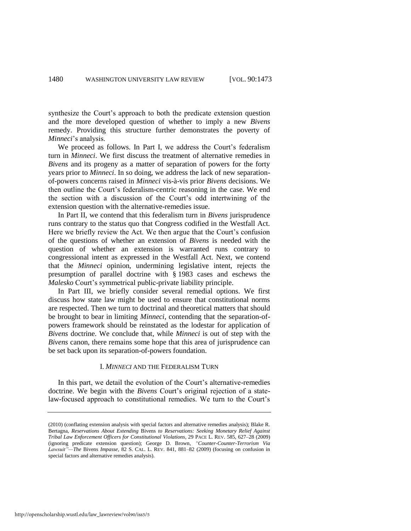synthesize the Court's approach to both the predicate extension question and the more developed question of whether to imply a new *Bivens* remedy. Providing this structure further demonstrates the poverty of *Minneci*'s analysis.

We proceed as follows. In Part I, we address the Court's federalism turn in *Minneci*. We first discuss the treatment of alternative remedies in *Bivens* and its progeny as a matter of separation of powers for the forty years prior to *Minneci*. In so doing, we address the lack of new separationof-powers concerns raised in *Minneci* vis-à-vis prior *Bivens* decisions. We then outline the Court's federalism-centric reasoning in the case. We end the section with a discussion of the Court's odd intertwining of the extension question with the alternative-remedies issue.

In Part II, we contend that this federalism turn in *Bivens* jurisprudence runs contrary to the status quo that Congress codified in the Westfall Act. Here we briefly review the Act. We then argue that the Court's confusion of the questions of whether an extension of *Bivens* is needed with the question of whether an extension is warranted runs contrary to congressional intent as expressed in the Westfall Act. Next, we contend that the *Minneci* opinion, undermining legislative intent, rejects the presumption of parallel doctrine with § 1983 cases and eschews the *Malesko* Court's symmetrical public-private liability principle.

In Part III, we briefly consider several remedial options. We first discuss how state law might be used to ensure that constitutional norms are respected. Then we turn to doctrinal and theoretical matters that should be brought to bear in limiting *Minneci*, contending that the separation-ofpowers framework should be reinstated as the lodestar for application of *Bivens* doctrine. We conclude that, while *Minneci* is out of step with the *Bivens* canon, there remains some hope that this area of jurisprudence can be set back upon its separation-of-powers foundation.

#### I. *MINNECI* AND THE FEDERALISM TURN

In this part, we detail the evolution of the Court's alternative-remedies doctrine. We begin with the *Bivens* Court's original rejection of a statelaw-focused approach to constitutional remedies. We turn to the Court's

<sup>(2010) (</sup>conflating extension analysis with special factors and alternative remedies analysis); Blake R. Bertagna, *Reservations About Extending* Bivens *to Reservations: Seeking Monetary Relief Against Tribal Law Enforcement Officers for Constitutional Violations*, 29 PACE L. REV. 585, 627–28 (2009) (ignoring predicate extension question); George D. Brown, *"Counter-Counter-Terrorism Via Lawsuit"—The* Bivens *Impasse*, 82 S. CAL. L. REV. 841, 881–82 (2009) (focusing on confusion in special factors and alternative remedies analysis).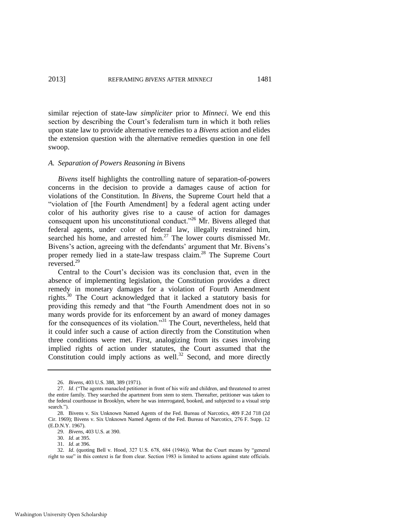similar rejection of state-law *simpliciter* prior to *Minneci*. We end this section by describing the Court's federalism turn in which it both relies upon state law to provide alternative remedies to a *Bivens* action and elides the extension question with the alternative remedies question in one fell swoop.

#### *A. Separation of Powers Reasoning in* Bivens

*Bivens* itself highlights the controlling nature of separation-of-powers concerns in the decision to provide a damages cause of action for violations of the Constitution. In *Bivens*, the Supreme Court held that a "violation of [the Fourth Amendment] by a federal agent acting under color of his authority gives rise to a cause of action for damages consequent upon his unconstitutional conduct."<sup>26</sup> Mr. Bivens alleged that federal agents, under color of federal law, illegally restrained him, searched his home, and arrested him.<sup>27</sup> The lower courts dismissed Mr. Bivens's action, agreeing with the defendants' argument that Mr. Bivens's proper remedy lied in a state-law trespass claim.<sup>28</sup> The Supreme Court  $reversed<sup>29</sup>$ 

<span id="page-9-0"></span>Central to the Court's decision was its conclusion that, even in the absence of implementing legislation, the Constitution provides a direct remedy in monetary damages for a violation of Fourth Amendment rights.<sup>30</sup> The Court acknowledged that it lacked a statutory basis for providing this remedy and that "the Fourth Amendment does not in so many words provide for its enforcement by an award of money damages for the consequences of its violation.<sup>31</sup> The Court, nevertheless, held that it could infer such a cause of action directly from the Constitution when three conditions were met. First, analogizing from its cases involving implied rights of action under statutes, the Court assumed that the Constitution could imply actions as well. $32$  Second, and more directly

<sup>26.</sup> *Bivens*, 403 U.S. 388, 389 (1971).

<sup>27.</sup> *Id.* ("The agents manacled petitioner in front of his wife and children, and threatened to arrest the entire family. They searched the apartment from stem to stern. Thereafter, petitioner was taken to the federal courthouse in Brooklyn, where he was interrogated, booked, and subjected to a visual strip search.").

<sup>28.</sup> Bivens v. Six Unknown Named Agents of the Fed. Bureau of Narcotics, 409 F.2d 718 (2d Cir. 1969); Bivens v. Six Unknown Named Agents of the Fed. Bureau of Narcotics, 276 F. Supp. 12 (E.D.N.Y. 1967).

<sup>29.</sup> *Bivens*, 403 U.S. at 390.

<sup>30.</sup> *Id*. at 395.

<sup>31.</sup> *Id*. at 396.

<sup>32.</sup> *Id.* (quoting Bell v. Hood, 327 U.S. 678, 684 (1946)). What the Court means by "general right to sue" in this context is far from clear. Section 1983 is limited to actions against state officials.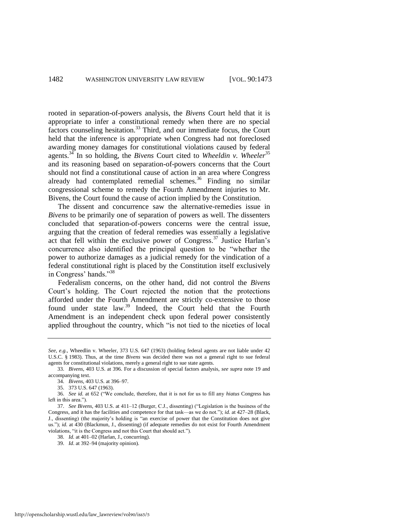rooted in separation-of-powers analysis, the *Bivens* Court held that it is appropriate to infer a constitutional remedy when there are no special factors counseling hesitation.<sup>33</sup> Third, and our immediate focus, the Court held that the inference is appropriate when Congress had not foreclosed awarding money damages for constitutional violations caused by federal agents.<sup>34</sup> In so holding, the *Bivens* Court cited to *Wheeldin v. Wheeler*<sup>35</sup> and its reasoning based on separation-of-powers concerns that the Court should not find a constitutional cause of action in an area where Congress already had contemplated remedial schemes.<sup>36</sup> Finding no similar congressional scheme to remedy the Fourth Amendment injuries to Mr. Bivens, the Court found the cause of action implied by the Constitution.

The dissent and concurrence saw the alternative-remedies issue in *Bivens* to be primarily one of separation of powers as well. The dissenters concluded that separation-of-powers concerns were the central issue, arguing that the creation of federal remedies was essentially a legislative act that fell within the exclusive power of Congress.<sup>37</sup> Justice Harlan's concurrence also identified the principal question to be "whether the power to authorize damages as a judicial remedy for the vindication of a federal constitutional right is placed by the Constitution itself exclusively in Congress' hands."<sup>38</sup>

Federalism concerns, on the other hand, did not control the *Bivens* Court's holding. The Court rejected the notion that the protections afforded under the Fourth Amendment are strictly co-extensive to those found under state law.<sup>39</sup> Indeed, the Court held that the Fourth Amendment is an independent check upon federal power consistently applied throughout the country, which "is not tied to the niceties of local

*See, e.g.*, Wheedlin v. Wheeler, 373 U.S. 647 (1963) (holding federal agents are not liable under 42 U.S.C. § 1983). Thus, at the time *Bivens* was decided there was not a general right to sue federal agents for constitutional violations, merely a general right to sue state agents.

<sup>33.</sup> *Bivens*, 403 U.S. at 396. For a discussion of special factors analysis, *see supra* note [19](#page-5-0) and accompanying text.

<sup>34.</sup> *Bivens*, 403 U.S. at 396–97.

<sup>35. 373</sup> U.S. 647 (1963).

<sup>36.</sup> *See id.* at 652 ("We conclude, therefore, that it is not for us to fill any *hiatus* Congress has left in this area.").

<sup>37.</sup> See Bivens, 403 U.S. at 411-12 (Burger, C.J., dissenting) ("Legislation is the business of the Congress, and it has the facilities and competence for that task—as we do not."); *id.* at 427–28 (Black, J., dissenting) (the majority's holding is "an exercise of power that the Constitution does not give us."); *id.* at 430 (Blackmun, J., dissenting) (if adequate remedies do not exist for Fourth Amendment violations, "it is the Congress and not this Court that should act.").

<sup>38.</sup> *Id.* at 401–02 (Harlan, J., concurring).

<sup>39.</sup> *Id*. at 392–94 (majority opinion).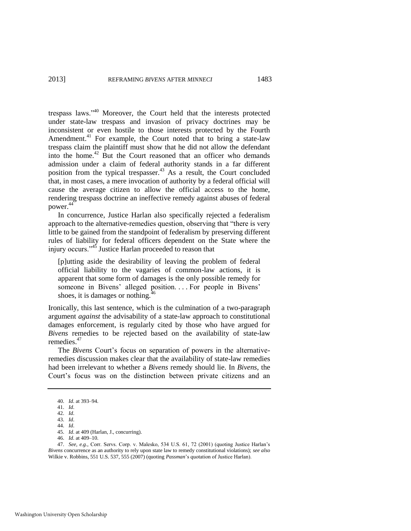trespass laws."<sup>40</sup> Moreover, the Court held that the interests protected under state-law trespass and invasion of privacy doctrines may be inconsistent or even hostile to those interests protected by the Fourth Amendment.<sup>41</sup> For example, the Court noted that to bring a state-law trespass claim the plaintiff must show that he did not allow the defendant into the home.<sup>42</sup> But the Court reasoned that an officer who demands admission under a claim of federal authority stands in a far different position from the typical trespasser.<sup>43</sup> As a result, the Court concluded that, in most cases, a mere invocation of authority by a federal official will cause the average citizen to allow the official access to the home, rendering trespass doctrine an ineffective remedy against abuses of federal power.<sup>44</sup>

In concurrence, Justice Harlan also specifically rejected a federalism approach to the alternative-remedies question, observing that "there is very little to be gained from the standpoint of federalism by preserving different rules of liability for federal officers dependent on the State where the injury occurs." $45$  Justice Harlan proceeded to reason that

[p]utting aside the desirability of leaving the problem of federal official liability to the vagaries of common-law actions, it is apparent that some form of damages is the only possible remedy for someone in Bivens' alleged position. . . . For people in Bivens' shoes, it is damages or nothing.<sup>46</sup>

Ironically, this last sentence, which is the culmination of a two-paragraph argument *against* the advisability of a state-law approach to constitutional damages enforcement, is regularly cited by those who have argued for *Bivens* remedies to be rejected based on the availability of state-law remedies.<sup>47</sup>

The *Bivens* Court's focus on separation of powers in the alternativeremedies discussion makes clear that the availability of state-law remedies had been irrelevant to whether a *Bivens* remedy should lie. In *Bivens*, the Court's focus was on the distinction between private citizens and an

<sup>40.</sup> *Id*. at 393–94.

<sup>41.</sup> *Id*.

<sup>42.</sup> *Id*. 43. *Id*.

<sup>44.</sup> *Id*.

<sup>45.</sup> *Id*. at 409 (Harlan, J., concurring).

<sup>46.</sup> *Id*. at 409–10.

<sup>47.</sup> *See, e.g.*, Corr. Servs. Corp. v. Malesko, 534 U.S. 61, 72 (2001) (quoting Justice Harlan's *Bivens* concurrence as an authority to rely upon state law to remedy constitutional violations); *see also*  Wilkie v. Robbins, 551 U.S. 537, 555 (2007) (quoting *Passman*'s quotation of Justice Harlan).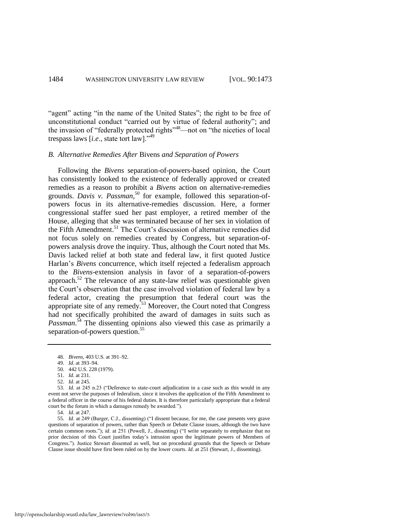"agent" acting "in the name of the United States"; the right to be free of unconstitutional conduct "carried out by virtue of federal authority"; and the invasion of "federally protected rights"<sup>48</sup>—not on "the niceties of local trespass laws [i.e., state tort law]."<sup>49</sup>

#### *B. Alternative Remedies After* Bivens *and Separation of Powers*

Following the *Bivens* separation-of-powers-based opinion, the Court has consistently looked to the existence of federally approved or created remedies as a reason to prohibit a *Bivens* action on alternative-remedies grounds. *Davis v. Passman*,<sup>50</sup> for example, followed this separation-ofpowers focus in its alternative-remedies discussion. Here, a former congressional staffer sued her past employer, a retired member of the House, alleging that she was terminated because of her sex in violation of the Fifth Amendment.<sup>51</sup> The Court's discussion of alternative remedies did not focus solely on remedies created by Congress, but separation-ofpowers analysis drove the inquiry. Thus, although the Court noted that Ms. Davis lacked relief at both state and federal law, it first quoted Justice Harlan's *Bivens* concurrence, which itself rejected a federalism approach to the *Bivens*-extension analysis in favor of a separation-of-powers approach.<sup>52</sup> The relevance of any state-law relief was questionable given the Court's observation that the case involved violation of federal law by a federal actor, creating the presumption that federal court was the appropriate site of any remedy.<sup>53</sup> Moreover, the Court noted that Congress had not specifically prohibited the award of damages in suits such as Passman.<sup>54</sup> The dissenting opinions also viewed this case as primarily a separation-of-powers question.<sup>55</sup>

54. *Id*. at 247.

55. *Id.* at 249 (Burger, C.J., dissenting) ("I dissent because, for me, the case presents very grave questions of separation of powers, rather than Speech or Debate Clause issues, although the two have certain common roots."); *id.* at 251 (Powell, J., dissenting) ("I write separately to emphasize that no prior decision of this Court justifies today's intrusion upon the legitimate powers of Members of Congress.‖). Justice Stewart dissented as well, but on procedural grounds that the Speech or Debate Clause issue should have first been ruled on by the lower courts. *Id*. at 251 (Stewart, J., dissenting).

<sup>48.</sup> *Bivens*, 403 U.S. at 391–92.

<sup>49.</sup> *Id*. at 393–94.

<sup>50. 442</sup> U.S. 228 (1979).

<sup>51.</sup> *Id*. at 231.

<sup>52.</sup> *Id*. at 245.

<sup>53.</sup> *Id.* at 245 n.23 ("Deference to state-court adjudication in a case such as this would in any event not serve the purposes of federalism, since it involves the application of the Fifth Amendment to a federal officer in the course of his federal duties. It is therefore particularly appropriate that a federal court be the forum in which a damages remedy be awarded.").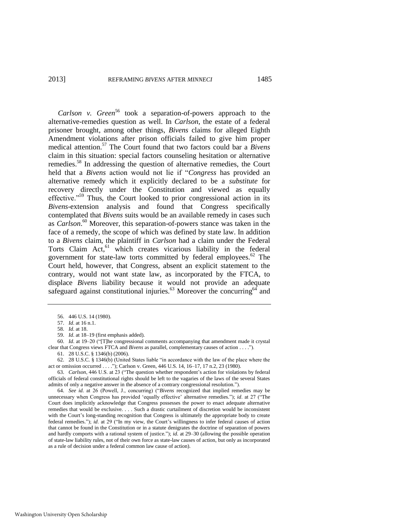*Carlson v. Green*<sup>56</sup> took a separation-of-powers approach to the alternative-remedies question as well. In *Carlson*, the estate of a federal prisoner brought, among other things, *Bivens* claims for alleged Eighth Amendment violations after prison officials failed to give him proper medical attention.<sup>57</sup> The Court found that two factors could bar a *Bivens* claim in this situation: special factors counseling hesitation or alternative remedies.<sup>58</sup> In addressing the question of alternative remedies, the Court held that a *Bivens* action would not lie if "*Congress* has provided an alternative remedy which it explicitly declared to be a *substitute* for recovery directly under the Constitution and viewed as equally effective."<sup>59</sup> Thus, the Court looked to prior congressional action in its *Bivens*-extension analysis and found that Congress specifically contemplated that *Bivens* suits would be an available remedy in cases such as *Carlson*. <sup>60</sup> Moreover, this separation-of-powers stance was taken in the face of a remedy, the scope of which was defined by state law. In addition to a *Bivens* claim, the plaintiff in *Carlson* had a claim under the Federal Torts Claim  $Act<sub>1</sub><sup>61</sup>$  which creates vicarious liability in the federal government for state-law torts committed by federal employees. $62$  The Court held, however, that Congress, absent an explicit statement to the contrary, would not want state law, as incorporated by the FTCA, to displace *Bivens* liability because it would not provide an adequate safeguard against constitutional injuries. $^{63}$  Moreover the concurring  $^{64}$  and

<sup>56. 446</sup> U.S. 14 (1980).

<sup>57.</sup> *Id*. at 16 n.1.

<sup>58.</sup> *Id*. at 18.

<sup>59.</sup> *Id*. at 18–19 (first emphasis added).

<sup>60.</sup> *Id.* at 19–20 ("[T]he congressional comments accompanying that amendment made it crystal clear that Congress views FTCA and *Bivens* as parallel, complementary causes of action . . . .").

<sup>61. 28</sup> U.S.C. § 1346(b) (2006).

<sup>62. 28</sup> U.S.C. § 1346(b) (United States liable "in accordance with the law of the place where the act or omission occurred . . . ."); Carlson v. Green, 446 U.S. 14, 16-17, 17 n.2, 23 (1980).

<sup>63.</sup> *Carlson*, 446 U.S. at 23 ("The question whether respondent's action for violations by federal officials of federal constitutional rights should be left to the vagaries of the laws of the several States admits of only a negative answer in the absence of a contrary congressional resolution.").

<sup>64.</sup> *See id.* at 26 (Powell, J., concurring) ("Bivens recognized that implied remedies may be unnecessary when Congress has provided 'equally effective' alternative remedies."); *id.* at 27 ("The Court does implicitly acknowledge that Congress possesses the power to enact adequate alternative remedies that would be exclusive. . . . Such a drastic curtailment of discretion would be inconsistent with the Court's long-standing recognition that Congress is ultimately the appropriate body to create federal remedies."); *id.* at 29 ("In my view, the Court's willingness to infer federal causes of action that cannot be found in the Constitution or in a statute denigrates the doctrine of separation of powers and hardly comports with a rational system of justice."); *id*. at 29–30 (allowing the possible operation of state-law liability rules, not of their own force as state-law causes of action, but only as incorporated as a rule of decision under a federal common law cause of action).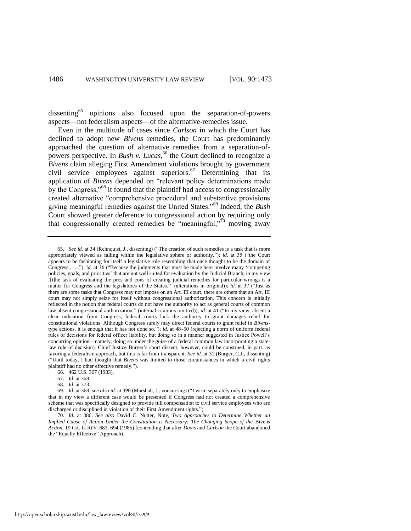dissenting<sup>65</sup> opinions also focused upon the separation-of-powers aspects—not federalism aspects—of the alternative-remedies issue.

Even in the multitude of cases since *Carlson* in which the Court has declined to adopt new *Bivens* remedies, the Court has predominantly approached the question of alternative remedies from a separation-ofpowers perspective. In *Bush v. Lucas*, <sup>66</sup> the Court declined to recognize a *Bivens* claim alleging First Amendment violations brought by government civil service employees against superiors.<sup>67</sup> Determining that its application of *Bivens* depended on "relevant policy determinations made by the Congress," $68$  it found that the plaintiff had access to congressionally created alternative "comprehensive procedural and substantive provisions" giving meaningful remedies against the United States."<sup>69</sup> Indeed, the *Bush* Court showed greater deference to congressional action by requiring only that congressionally created remedies be "meaningful," $\frac{1}{2}$  moving away

68. *Id*. at 373.

http://openscholarship.wustl.edu/law\_lawreview/vol90/iss5/5

<sup>65.</sup> *See id.* at 34 (Rehnquist, J., dissenting) ("The creation of such remedies is a task that is more appropriately viewed as falling within the legislative sphere of authority."); *id.* at 35 ("the Court appears to be fashioning for itself a legislative role resembling that once thought to be the domain of Congress . . . .<sup>"</sup>); *id*. at 36 ("Because the judgments that must be made here involve many 'competing policies, goals, and priorities' that are not well suited for evaluation by the Judicial Branch, in my view ‗[t]he task of evaluating the pros and cons of creating judicial remedies for particular wrongs is a matter for Congress and the legislatures of the States.'" (alterations in original)); *id.* at 37 ("Just as there are some tasks that Congress may not impose on an Art. III court, there are others that an Art. III court may not simply seize for itself without congressional authorization. This concern is initially reflected in the notion that federal courts do not have the authority to act as general courts of common law absent congressional authorization." (internal citations omitted)); *id.* at 41 ("In my view, absent a clear indication from Congress, federal courts lack the authority to grant damages relief for constitutional violations. Although Congress surely may direct federal courts to grant relief in *Bivens*type actions, it is enough that it has not done so."); *id.* at 48–50 (rejecting a norm of uniform federal rules of decisions for federal officer liability, but doing so in a manner suggested in Justice Powell's concurring opinion—namely, doing so under the guise of a federal common law incorporating a statelaw rule of decision). Chief Justice Burger's short dissent, however, could be construed, in part, as favoring a federalism approach, but this is far from transparent. *See id.* at 31 (Burger, C.J., dissenting) (―Until today, I had thought that *Bivens* was limited to those circumstances in which a civil rights plaintiff had no other effective remedy.").

<sup>66. 462</sup> U.S. 367 (1983).

<sup>67.</sup> *Id*. at 368.

<sup>69.</sup> *Id.* at 368; see also id. at 390 (Marshall, J., concurring) ("I write separately only to emphasize that in my view a different case would be presented if Congress had not created a comprehensive scheme that was specifically designed to provide full compensation to civil service employees who are discharged or disciplined in violation of their First Amendment rights.").

<sup>70.</sup> *Id.* at 386. *See also* David C. Nutter, Note, *Two Approaches to Determine Whether an Implied Cause of Action Under the Constitution is Necessary: The Changing Scope of the Bivens Action*, 19 GA. L. REV. 683, 694 (1985) (contending that after *Davis* and *Carlson* the Court abandoned the "Equally Effective" Approach).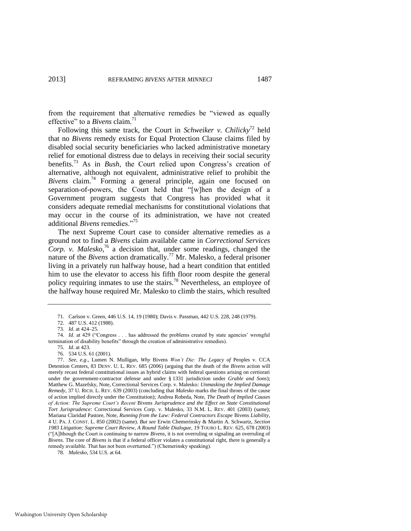from the requirement that alternative remedies be "viewed as equally effective" to a *Bivens* claim.<sup>71</sup>

Following this same track, the Court in *Schweiker v. Chilicky*<sup>72</sup> held that no *Bivens* remedy exists for Equal Protection Clause claims filed by disabled social security beneficiaries who lacked administrative monetary relief for emotional distress due to delays in receiving their social security benefits.<sup>73</sup> As in *Bush*, the Court relied upon Congress's creation of alternative, although not equivalent, administrative relief to prohibit the *Bivens* claim.<sup>74</sup> Forming a general principle, again one focused on separation-of-powers, the Court held that "[w]hen the design of a Government program suggests that Congress has provided what it considers adequate remedial mechanisms for constitutional violations that may occur in the course of its administration, we have not created additional *Bivens* remedies."<sup>75</sup>

<span id="page-15-0"></span>The next Supreme Court case to consider alternative remedies as a ground not to find a *Bivens* claim available came in *Correctional Services Corp. v. Malesko*, <sup>76</sup> a decision that, under some readings, changed the nature of the *Bivens* action dramatically.<sup>77</sup> Mr. Malesko, a federal prisoner living in a privately run halfway house, had a heart condition that entitled him to use the elevator to access his fifth floor room despite the general policy requiring inmates to use the stairs.<sup>78</sup> Nevertheless, an employee of the halfway house required Mr. Malesko to climb the stairs, which resulted

<sup>71.</sup> Carlson v. Green, 446 U.S. 14, 19 (1980); Davis v. Passman, 442 U.S. 228, 248 (1979).

<sup>72. 487</sup> U.S. 412 (1988).

<sup>73.</sup> *Id*. at 424–25.

<sup>74.</sup> *Id.* at 429 ("Congress . . . has addressed the problems created by state agencies' wrongful termination of disability benefits" through the creation of administrative remedies).

<sup>75.</sup> *Id*. at 423.

<sup>76. 534</sup> U.S. 61 (2001).

<sup>77.</sup> *See, e.g*., Lumen N. Mulligan, *Why* Bivens *Won't Die: The Legacy of* Peoples v. CCA Detention Centers, 83 DENV. U. L. REV. 685 (2006) (arguing that the death of the *Bivens* action will merely recast federal constitutional issues as hybrid claims with federal questions arising on certiorari under the government-contractor defense and under § 1331 jurisdiction under *Grable and Sons*); Matthew G. Mazefsky, Note, Correctional Services Corp. v. Malesko*: Unmasking the Implied Damage Remedy*, 37 U. RICH. L. REV. 639 (2003) (concluding that *Malesko* marks the final throes of the cause of action implied directly under the Constitution); Andrea Robeda, Note, *The Death of Implied Causes of Action: The Supreme Court's Recent* Bivens *Jurisprudence and the Effect on State Constitutional Tort Jurisprudence:* Correctional Services Corp. v. Malesko, 33 N.M. L. REV. 401 (2003) (same); Mariana Claridad Pastore, Note, *Running from the Law: Federal Contractors Escape* Bivens *Liability*, 4 U. PA. J. CONST. L. 850 (2002) (same). *But see* Erwin Chemerinsky & Martin A. Schwartz, *Section 1983 Litigation: Supreme Court Review, A Round Table Dialogue*, 19 TOURO L. REV. 625, 678 (2003) (―[A]lthough the Court is continuing to narrow *Bivens*, it is not overruling or signaling an overruling of *Bivens*. The core of *Bivens* is that if a federal officer violates a constitutional right, there is generally a remedy available. That has not been overturned.") (Chemerinsky speaking).

<sup>78.</sup> *Malesko*, 534 U.S. at 64.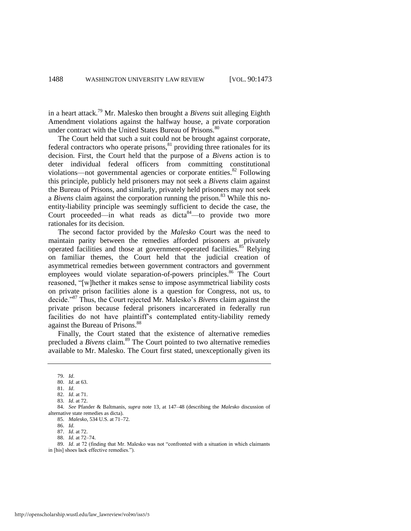in a heart attack.<sup>79</sup> Mr. Malesko then brought a *Bivens* suit alleging Eighth Amendment violations against the halfway house, a private corporation under contract with the United States Bureau of Prisons.<sup>80</sup>

The Court held that such a suit could not be brought against corporate, federal contractors who operate prisons, $81$  providing three rationales for its decision. First, the Court held that the purpose of a *Bivens* action is to deter individual federal officers from committing constitutional violations—not governmental agencies or corporate entities. $82$  Following this principle, publicly held prisoners may not seek a *Bivens* claim against the Bureau of Prisons, and similarly, privately held prisoners may not seek a *Bivens* claim against the corporation running the prison.<sup>83</sup> While this noentity-liability principle was seemingly sufficient to decide the case, the Court proceeded—in what reads as dicta $84$ —to provide two more rationales for its decision.

<span id="page-16-0"></span>The second factor provided by the *Malesko* Court was the need to maintain parity between the remedies afforded prisoners at privately operated facilities and those at government-operated facilities.<sup>85</sup> Relying on familiar themes, the Court held that the judicial creation of asymmetrical remedies between government contractors and government employees would violate separation-of-powers principles.<sup>86</sup> The Court reasoned, "[w]hether it makes sense to impose asymmetrical liability costs on private prison facilities alone is a question for Congress, not us, to decide.<sup>887</sup> Thus, the Court rejected Mr. Malesko's *Bivens* claim against the private prison because federal prisoners incarcerated in federally run facilities do not have plaintiff's contemplated entity-liability remedy against the Bureau of Prisons.<sup>88</sup>

Finally, the Court stated that the existence of alternative remedies precluded a *Bivens* claim.<sup>89</sup> The Court pointed to two alternative remedies available to Mr. Malesko. The Court first stated, unexceptionally given its

89. *Id.* at 72 (finding that Mr. Malesko was not "confronted with a situation in which claimants in [his] shoes lack effective remedies.").

<sup>79.</sup> *Id*.

<sup>80.</sup> *Id*. at 63.

<sup>81.</sup> *Id*.

<sup>82.</sup> *Id*. at 71. 83. *Id*. at 72.

<sup>84.</sup> *See* Pfander & Baltmanis, *supra* note [13,](#page-4-0) at 147–48 (describing the *Malesko* discussion of alternative state remedies as dicta).

<sup>85.</sup> *Malesko*, 534 U.S. at 71–72.

<sup>86.</sup> *Id.*

<sup>87.</sup> *Id*. at 72.

<sup>88.</sup> *Id.* at 72–74.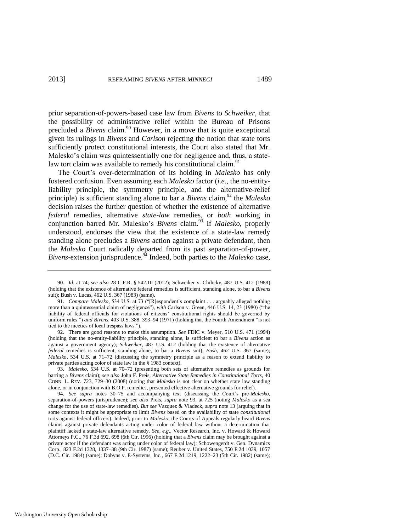prior separation-of-powers-based case law from *Bivens* to *Schweiker*, that the possibility of administrative relief within the Bureau of Prisons precluded a *Bivens* claim.<sup>90</sup> However, in a move that is quite exceptional given its rulings in *Bivens* and *Carlson* rejecting the notion that state torts sufficiently protect constitutional interests, the Court also stated that Mr. Malesko's claim was quintessentially one for negligence and, thus, a statelaw tort claim was available to remedy his constitutional claim.<sup>91</sup>

<span id="page-17-0"></span>The Court's over-determination of its holding in *Malesko* has only fostered confusion. Even assuming each *Malesko* factor (*i.e*., the no-entityliability principle, the symmetry principle, and the alternative-relief principle) is sufficient standing alone to bar a *Bivens* claim,<sup>92</sup> the *Malesko* decision raises the further question of whether the existence of alternative *federal* remedies, alternative *state-law* remedies, or *both* working in conjunction barred Mr. Malesko's *Bivens* claim.<sup>93</sup> If *Malesko*, properly understood, endorses the view that the existence of a state-law remedy standing alone precludes a *Bivens* action against a private defendant, then the *Malesko* Court radically departed from its past separation-of-power, *Bivens*-extension jurisprudence.<sup>94</sup> Indeed, both parties to the *Malesko* case,

<sup>90</sup>*. Id*. at 74; *see also* 28 C.F.R. § 542.10 (2012); Schweiker v. Chilicky, 487 U.S. 412 (1988) (holding that the existence of alternative federal remedies is sufficient, standing alone, to bar a *Bivens* suit); Bush v. Lucas, 462 U.S. 367 (1983) (same).

<sup>91.</sup> *Compare Malesko*, 534 U.S. at 73 ("[R]espondent's complaint . . . arguably alleged nothing more than a quintessential claim of negligence"), *with* Carlson v. Green, 446 U.S. 14, 23 (1980) ("the liability of federal officials for violations of citizens' constitutional rights should be governed by uniform rules.") *and Bivens*, 403 U.S. 388, 393-94 (1971) (holding that the Fourth Amendment "is not tied to the niceties of local trespass laws.‖).

<sup>92.</sup> There are good reasons to make this assumption. *See* FDIC v. Meyer, 510 U.S. 471 (1994) (holding that the no-entity-liability principle, standing alone, is sufficient to bar a *Bivens* action as against a government agency); *Schweiker*, 487 U.S. 412 (holding that the existence of alternative *federal* remedies is sufficient, standing alone, to bar a *Bivens* suit); *Bush*, 462 U.S. 367 (same); *Malesko*, 534 U.S. at 71–72 (discussing the symmetry principle as a reason to extend liability to private parties acting color of state law in the § 1983 context).

<sup>93.</sup> *Malesko*, 534 U.S. at 70–72 (presenting both sets of alternative remedies as grounds for barring a *Bivens* claim); *see also* John F. Preis, *Alternative State Remedies in Constitutional Torts*, 40 CONN. L. REV. 723, 729–30 (2008) (noting that *Malesko* is not clear on whether state law standing alone, or in conjunction with B.O.P. remedies, presented effective alternative grounds for relief).

<sup>94.</sup> *See supra* notes [30](#page-9-0)[–75](#page-15-0) and accompanying text (discussing the Court's pre-*Malesko*, separation-of-powers jurisprudence); *see also* Preis, *supra* note [93,](#page-17-0) at 725 (noting *Malesko* as a sea change for the use of state-law remedies). *But see* Vazquez & Vladeck, *supra* not[e 13](#page-4-0) (arguing that in some contexts it might be appropriate to limit *Bivens* based on the availability of state *constitutional* torts against federal officers). Indeed, prior to *Malesko*, the Courts of Appeals regularly heard *Bivens* claims against private defendants acting under color of federal law without a determination that plaintiff lacked a state-law alternative remedy. *See, e.g*., Vector Research, Inc. v. Howard & Howard Attorneys P.C., 76 F.3d 692, 698 (6th Cir. 1996) (holding that a *Bivens* claim may be brought against a private actor if the defendant was acting under color of federal law); Schowengerdt v. Gen. Dynamics Corp., 823 F.2d 1328, 1337–38 (9th Cir. 1987) (same); Reuber v. United States, 750 F.2d 1039, 1057 (D.C. Cir. 1984) (same); Dobyns v. E-Systems, Inc., 667 F.2d 1219, 1222–23 (5th Cir. 1982) (same);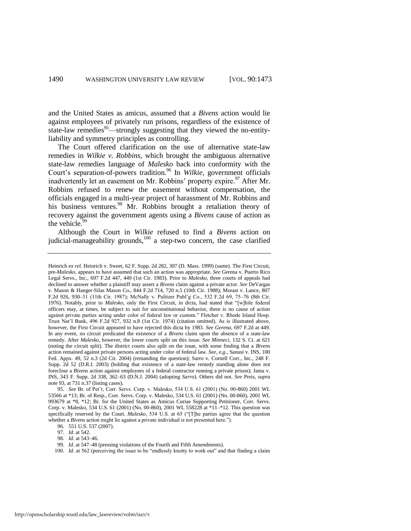<span id="page-18-0"></span>and the United States as amicus, assumed that a *Bivens* action would lie against employees of privately run prisons, regardless of the existence of state-law remedies<sup>95</sup>—strongly suggesting that they viewed the no-entityliability and symmetry principles as controlling.

The Court offered clarification on the use of alternative state-law remedies in *Wilkie v. Robbins*, which brought the ambiguous alternative state-law remedies language of *Malesko* back into conformity with the Court's separation-of-powers tradition.<sup>96</sup> In *Wilkie*, government officials inadvertently let an easement on Mr. Robbins' property expire.<sup>97</sup> After Mr. Robbins refused to renew the easement without compensation, the officials engaged in a multi-year project of harassment of Mr. Robbins and his business ventures.<sup>98</sup> Mr. Robbins brought a retaliation theory of recovery against the government agents using a *Bivens* cause of action as the vehicle. $99$ 

Although the Court in *Wilkie* refused to find a *Bivens* action on judicial-manageability grounds, $100$  a step-two concern, the case clarified

99. *Id*. at 547–48 (pressing violations of the Fourth and Fifth Amendments).

Heinrich *ex rel.* Heinrich v. Sweet, 62 F. Supp. 2d 282, 307 (D. Mass. 1999) (same). The First Circuit, pre-*Malesko*, appears to have assumed that such an action was appropriate. *See* Gerena v. Puerto Rico Legal Servs., Inc., 697 F.2d 447, 449 (1st Cir. 1983). Prior to *Malesko*, three courts of appeals had declined to answer whether a plaintiff may assert a *Bivens* claim against a private actor. *See* DeVargas v. Mason & Hanger-Silas Mason Co., 844 F.2d 714, 720 n.5 (10th Cir. 1988); Morast v. Lance, 807 F.2d 926, 930–31 (11th Cir. 1987); McNally v. Pulitzer Publ'g Co., 532 F.2d 69, 75–76 (8th Cir. 1976). Notably, prior to *Malesko*, only the First Circuit, in dicta, had stated that "[w]hile federal officers may, at times, be subject to suit for unconstitutional behavior, there is no cause of action against private parties acting under color of federal law or custom." Fletcher v. Rhode Island Hosp. Trust Nat'l Bank, 496 F.2d 927, 932 n.8 (1st Cir. 1974) (citation omitted). As is illustrated above, however, the First Circuit appeared to have rejected this dicta by 1983. *See Gerena*, 697 F.2d at 449. In any event, no circuit predicated the existence of a *Bivens* claim upon the absence of a state-law remedy. After *Malesko*, however, the lower courts split on this issue. *See Minneci*, 132 S. Ct. at 621 (noting the circuit split). The district courts also split on the issue, with some finding that a *Bivens* action remained against private persons acting under color of federal law. *See, e.g*., Sanusi v. INS, 100 Fed. Appx. 49, 52 n.3 (2d Cir. 2004) (remanding the question); Sarro v. Cornell Corr., Inc., 248 F. Supp. 2d 52 (D.R.I. 2003) (holding that existence of a state-law remedy standing alone does not foreclose a *Bivens* action against employees of a federal contractor running a private prison); Jama v. INS, 343 F. Supp. 2d 338, 362–63 (D.N.J. 2004) (adopting *Sarro*). Others did not. *See* Preis, *supra* note [93,](#page-17-0) at 731 n.37 (listing cases).

<sup>95.</sup> *See* Br. of Pet'r, Corr. Servs. Corp. v. Malesko, 534 U.S. 61 (2001) (No. 00-860) 2001 WL 53566 at \*13; Br. of Resp., Corr. Servs. Corp. v. Malesko, 534 U.S. 61 (2001) (No. 00-860), 2001 WL 993679 at \*8, \*12; Br. for the United States as Amicus Curiae Supporting Petitioner, Corr. Servs. Corp. v. Malesko, 534 U.S. 61 (2001) (No. 00-860), 2001 WL 558228 at \*11–\*12. This question was specifically reserved by the Court. *Malesko*, 534 U.S. at 65 ("The parties agree that the question whether a *Bivens* action might lie against a private individual is not presented here.").

<sup>96. 551</sup> U.S. 537 (2007).

<sup>97.</sup> *Id*. at 542.

<sup>98.</sup> *Id*. at 543–46.

<sup>100.</sup> *Id.* at 562 (perceiving the issue to be "endlessly knotty to work out" and that finding a claim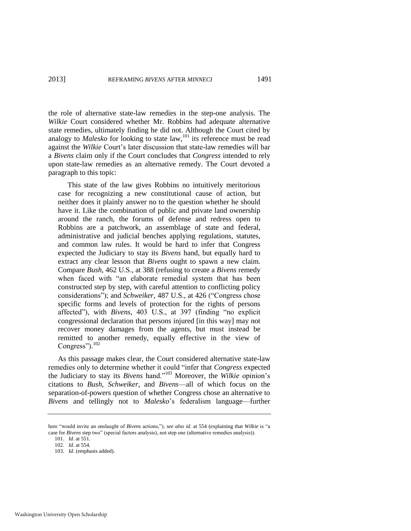the role of alternative state-law remedies in the step-one analysis. The *Wilkie* Court considered whether Mr. Robbins had adequate alternative state remedies, ultimately finding he did not. Although the Court cited by analogy to *Malesko* for looking to state law,<sup>101</sup> its reference must be read against the *Wilkie* Court's later discussion that state-law remedies will bar a *Bivens* claim only if the Court concludes that *Congress* intended to rely upon state-law remedies as an alternative remedy. The Court devoted a paragraph to this topic:

 This state of the law gives Robbins no intuitively meritorious case for recognizing a new constitutional cause of action, but neither does it plainly answer no to the question whether he should have it. Like the combination of public and private land ownership around the ranch, the forums of defense and redress open to Robbins are a patchwork, an assemblage of state and federal, administrative and judicial benches applying regulations, statutes, and common law rules. It would be hard to infer that Congress expected the Judiciary to stay its *Bivens* hand, but equally hard to extract any clear lesson that *Bivens* ought to spawn a new claim. Compare *Bush*, 462 U.S., at 388 (refusing to create a *Bivens* remedy when faced with "an elaborate remedial system that has been constructed step by step, with careful attention to conflicting policy considerations"); and *Schweiker*, 487 U.S., at 426 ("Congress chose specific forms and levels of protection for the rights of persons affected"), with *Bivens*, 403 U.S., at 397 (finding "no explicit congressional declaration that persons injured [in this way] may not recover money damages from the agents, but must instead be remitted to another remedy, equally effective in the view of Congress" $)$ .<sup>102</sup>

As this passage makes clear, the Court considered alternative state-law remedies only to determine whether it could "infer that *Congress* expected the Judiciary to stay its *Bivens* hand.<sup>1103</sup> Moreover, the *Wilkie* opinion's citations to *Bush*, *Schweiker*, and *Bivens*—all of which focus on the separation-of-powers question of whether Congress chose an alternative to *Bivens* and tellingly not to *Malesko*'s federalism language—further

here "would invite an onslaught of *Bivens* actions,"); *see also id.* at 554 (explaining that *Wilkie* is "a case for *Bivens* step two" (special factors analysis), not step one (alternative remedies analysis)).

<sup>101.</sup> *Id*. at 551.

<sup>102.</sup> *Id*. at 554.

<sup>103.</sup> *Id*. (emphasis added).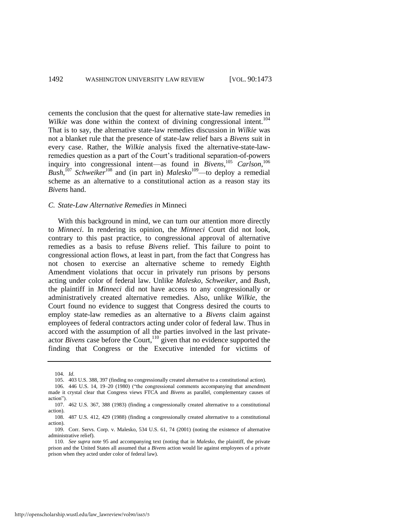cements the conclusion that the quest for alternative state-law remedies in *Wilkie* was done within the context of divining congressional intent.<sup>104</sup> That is to say, the alternative state-law remedies discussion in *Wilkie* was not a blanket rule that the presence of state-law relief bars a *Bivens* suit in every case. Rather, the *Wilkie* analysis fixed the alternative-state-lawremedies question as a part of the Court's traditional separation-of-powers inquiry into congressional intent—as found in *Bivens*, <sup>105</sup> *Carlson*, 106 *Bush*,<sup>107</sup> *Schweiker*<sup>108</sup> and (in part in) *Malesko*<sup>109</sup>—to deploy a remedial scheme as an alternative to a constitutional action as a reason stay its *Bivens* hand.

#### *C. State-Law Alternative Remedies in* Minneci

With this background in mind, we can turn our attention more directly to *Minneci*. In rendering its opinion, the *Minneci* Court did not look, contrary to this past practice, to congressional approval of alternative remedies as a basis to refuse *Bivens* relief. This failure to point to congressional action flows, at least in part, from the fact that Congress has not chosen to exercise an alternative scheme to remedy Eighth Amendment violations that occur in privately run prisons by persons acting under color of federal law. Unlike *Malesko*, *Schweiker*, and *Bush*, the plaintiff in *Minneci* did not have access to any congressionally or administratively created alternative remedies. Also, unlike *Wilkie*, the Court found no evidence to suggest that Congress desired the courts to employ state-law remedies as an alternative to a *Bivens* claim against employees of federal contractors acting under color of federal law. Thus in accord with the assumption of all the parties involved in the last privateactor *Bivens* case before the Court,<sup>110</sup> given that no evidence supported the finding that Congress or the Executive intended for victims of

<sup>104.</sup> *Id*.

<sup>105. 403</sup> U.S. 388, 397 (finding no congressionally created alternative to a constitutional action).

<sup>106. 446</sup> U.S. 14, 19–20 (1980) ("the congressional comments accompanying that amendment made it crystal clear that Congress views FTCA and *Bivens* as parallel, complementary causes of action").

<sup>107. 462</sup> U.S. 367, 388 (1983) (finding a congressionally created alternative to a constitutional action).

<sup>108. 487</sup> U.S. 412, 429 (1988) (finding a congressionally created alternative to a constitutional action).

<sup>109.</sup> Corr. Servs. Corp. v. Malesko, 534 U.S. 61, 74 (2001) (noting the existence of alternative administrative relief).

<sup>110.</sup> *See supra* not[e 95](#page-18-0) and accompanying text (noting that in *Malesko*, the plaintiff, the private prison and the United States all assumed that a *Bivens* action would lie against employees of a private prison when they acted under color of federal law).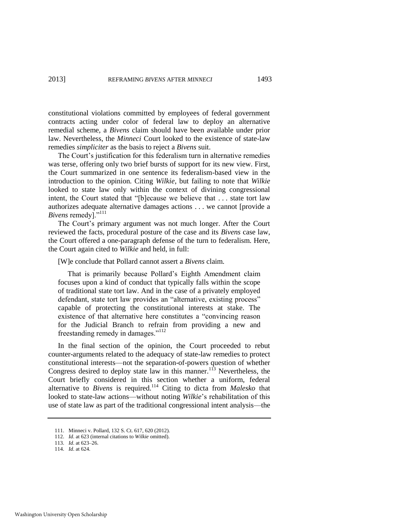constitutional violations committed by employees of federal government contracts acting under color of federal law to deploy an alternative remedial scheme, a *Bivens* claim should have been available under prior law. Nevertheless, the *Minneci* Court looked to the existence of state-law remedies *simpliciter* as the basis to reject a *Bivens* suit.

The Court's justification for this federalism turn in alternative remedies was terse, offering only two brief bursts of support for its new view. First, the Court summarized in one sentence its federalism-based view in the introduction to the opinion. Citing *Wilkie*, but failing to note that *Wilkie* looked to state law only within the context of divining congressional intent, the Court stated that "[b]ecause we believe that . . . state tort law authorizes adequate alternative damages actions . . . we cannot [provide a *Bivens* remedy]."<sup>111</sup>

The Court's primary argument was not much longer. After the Court reviewed the facts, procedural posture of the case and its *Bivens* case law, the Court offered a one-paragraph defense of the turn to federalism. Here, the Court again cited to *Wilkie* and held, in full:

[W]e conclude that Pollard cannot assert a *Bivens* claim.

That is primarily because Pollard's Eighth Amendment claim focuses upon a kind of conduct that typically falls within the scope of traditional state tort law. And in the case of a privately employed defendant, state tort law provides an "alternative, existing process" capable of protecting the constitutional interests at stake. The existence of that alternative here constitutes a "convincing reason for the Judicial Branch to refrain from providing a new and freestanding remedy in damages."<sup>112</sup>

In the final section of the opinion, the Court proceeded to rebut counter-arguments related to the adequacy of state-law remedies to protect constitutional interests—not the separation-of-powers question of whether Congress desired to deploy state law in this manner.<sup>113</sup> Nevertheless, the Court briefly considered in this section whether a uniform, federal alternative to *Bivens* is required.<sup>114</sup> Citing to dicta from *Malesko* that looked to state-law actions—without noting *Wilkie*'s rehabilitation of this use of state law as part of the traditional congressional intent analysis—the

114. *Id*. at 624.

<sup>111.</sup> Minneci v. Pollard, 132 S. Ct. 617, 620 (2012).

<sup>112.</sup> *Id*. at 623 (internal citations to *Wilkie* omitted).

<sup>113.</sup> *Id*. at 623–26.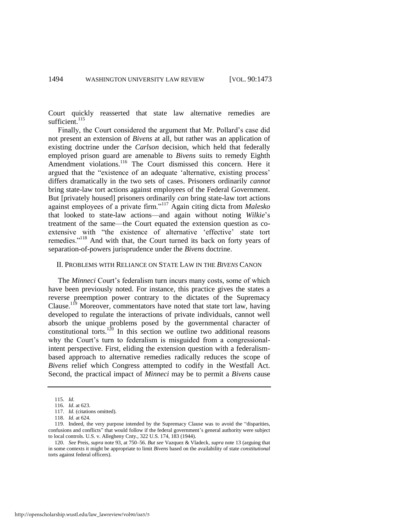Court quickly reasserted that state law alternative remedies are sufficient.<sup>115</sup>

Finally, the Court considered the argument that Mr. Pollard's case did not present an extension of *Bivens* at all, but rather was an application of existing doctrine under the *Carlson* decision, which held that federally employed prison guard are amenable to *Bivens* suits to remedy Eighth Amendment violations.<sup>116</sup> The Court dismissed this concern. Here it argued that the "existence of an adequate 'alternative, existing process' differs dramatically in the two sets of cases. Prisoners ordinarily *cannot* bring state-law tort actions against employees of the Federal Government. But [privately housed] prisoners ordinarily *can* bring state-law tort actions against employees of a private firm."<sup>117</sup> Again citing dicta from *Malesko* that looked to state-law actions—and again without noting *Wilkie*'s treatment of the same—the Court equated the extension question as coextensive with "the existence of alternative 'effective' state tort remedies."<sup>118</sup> And with that, the Court turned its back on forty years of separation-of-powers jurisprudence under the *Bivens* doctrine.

#### II. PROBLEMS WITH RELIANCE ON STATE LAW IN THE *BIVENS* CANON

The *Minneci* Court's federalism turn incurs many costs, some of which have been previously noted. For instance, this practice gives the states a reverse preemption power contrary to the dictates of the Supremacy Clause.<sup>119</sup> Moreover, commentators have noted that state tort law, having developed to regulate the interactions of private individuals, cannot well absorb the unique problems posed by the governmental character of constitutional torts.<sup>120</sup> In this section we outline two additional reasons why the Court's turn to federalism is misguided from a congressionalintent perspective. First, eliding the extension question with a federalismbased approach to alternative remedies radically reduces the scope of *Bivens* relief which Congress attempted to codify in the Westfall Act. Second, the practical impact of *Minneci* may be to permit a *Bivens* cause

<sup>115.</sup> *Id*.

<sup>116.</sup> *Id*. at 623. 117. *Id.* (citations omitted).

<sup>118.</sup> *Id.* at 624.

<sup>119.</sup> Indeed, the very purpose intended by the Supremacy Clause was to avoid the "disparities, confusions and conflicts" that would follow if the federal government's general authority were subject to local controls. U.S. v. Allegheny Cnty., 322 U.S. 174, 183 (1944).

<sup>120.</sup> *See* Preis, *supra* note [93,](#page-17-0) at 750–56. *But see* Vazquez & Vladeck, *supra* note [13](#page-4-0) (arguing that in some contexts it might be appropriate to limit *Bivens* based on the availability of state *constitutional* torts against federal officers).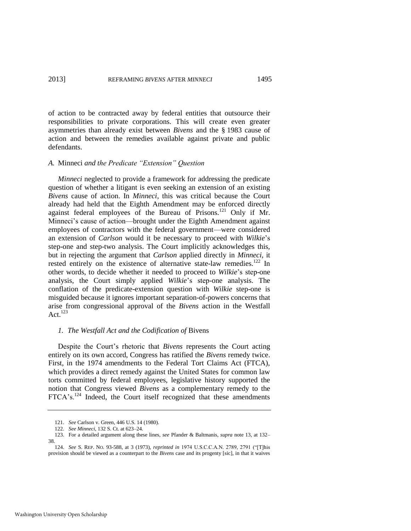of action to be contracted away by federal entities that outsource their responsibilities to private corporations. This will create even greater asymmetries than already exist between *Bivens* and the § 1983 cause of action and between the remedies available against private and public defendants.

#### *A.* Minneci *and the Predicate "Extension" Question*

*Minneci* neglected to provide a framework for addressing the predicate question of whether a litigant is even seeking an extension of an existing *Bivens* cause of action. In *Minneci*, this was critical because the Court already had held that the Eighth Amendment may be enforced directly against federal employees of the Bureau of Prisons.<sup>121</sup> Only if Mr. Minneci's cause of action—brought under the Eighth Amendment against employees of contractors with the federal government—were considered an extension of *Carlson* would it be necessary to proceed with *Wilkie*'s step-one and step-two analysis. The Court implicitly acknowledges this, but in rejecting the argument that *Carlson* applied directly in *Minneci*, it rested entirely on the existence of alternative state-law remedies.<sup>122</sup> In other words, to decide whether it needed to proceed to *Wilkie*'s step-one analysis, the Court simply applied *Wilkie*'s step-one analysis. The conflation of the predicate-extension question with *Wilkie* step-one is misguided because it ignores important separation-of-powers concerns that arise from congressional approval of the *Bivens* action in the Westfall Act. $123$ 

#### *1. The Westfall Act and the Codification of* Bivens

Despite the Court's rhetoric that *Bivens* represents the Court acting entirely on its own accord, Congress has ratified the *Bivens* remedy twice. First, in the 1974 amendments to the Federal Tort Claims Act (FTCA), which provides a direct remedy against the United States for common law torts committed by federal employees, legislative history supported the notion that Congress viewed *Bivens* as a complementary remedy to the FTCA's.<sup>124</sup> Indeed, the Court itself recognized that these amendments

<sup>121.</sup> *See* Carlson v. Green, 446 U.S. 14 (1980).

<sup>122.</sup> *See Minneci*, 132 S. Ct. at 623–24.

<sup>123.</sup> For a detailed argument along these lines, *see* Pfander & Baltmanis, *supra* not[e 13,](#page-4-0) at 132– 38.

<sup>124.</sup> *See* S. REP. NO. 93-588, at 3 (1973), *reprinted in* 1974 U.S.C.C.A.N. 2789, 2791 ("[T]his provision should be viewed as a counterpart to the *Bivens* case and its progenty [sic], in that it waives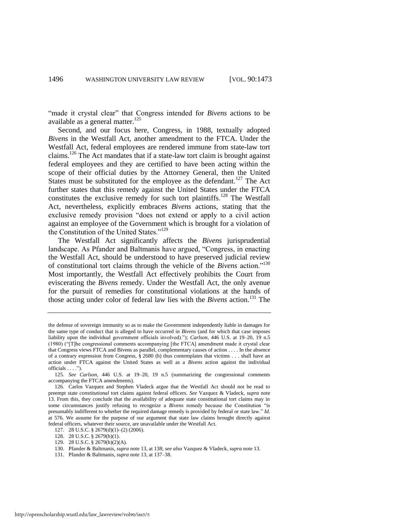"made it crystal clear" that Congress intended for *Bivens* actions to be available as a general matter. $125$ 

Second, and our focus here, Congress, in 1988, textually adopted *Bivens* in the Westfall Act, another amendment to the FTCA. Under the Westfall Act, federal employees are rendered immune from state-law tort claims.<sup>126</sup> The Act mandates that if a state-law tort claim is brought against federal employees and they are certified to have been acting within the scope of their official duties by the Attorney General, then the United States must be substituted for the employee as the defendant.<sup>127</sup> The Act further states that this remedy against the United States under the FTCA constitutes the exclusive remedy for such tort plaintiffs.<sup>128</sup> The Westfall Act, nevertheless, explicitly embraces *Bivens* actions, stating that the exclusive remedy provision "does not extend or apply to a civil action against an employee of the Government which is brought for a violation of the Constitution of the United States."<sup>129</sup>

The Westfall Act significantly affects the *Bivens* jurisprudential landscape. As Pfander and Baltmanis have argued, "Congress, in enacting the Westfall Act, should be understood to have preserved judicial review of constitutional tort claims through the vehicle of the *Bivens* action."<sup>130</sup> Most importantly, the Westfall Act effectively prohibits the Court from eviscerating the *Bivens* remedy. Under the Westfall Act, the only avenue for the pursuit of remedies for constitutional violations at the hands of those acting under color of federal law lies with the *Bivens* action.<sup>131</sup> The

127. 28 U.S.C. § 2679(d)(1)–(2) (2006).

128. 28 U.S.C. § 2679(b)(1).

131. Pfander & Baltmanis, *supra* note [13,](#page-4-0) at 137–38.

the defense of sovereign immunity so as to make the Government independently liable in damages for the same type of conduct that is alleged to have occurred in *Bivens* (and for which that case imposes liability upon the individual government officials involved)."); *Carlson*, 446 U.S. at 19-20, 19 n.5 (1980) ("[T]he congressional comments accompanying [the FTCA] amendment made it crystal clear that Congress views FTCA and Bivens as parallel, complementary causes of action . . . . In the absence of a contrary expression from Congress, § 2680 (h) thus contemplates that victims . . . shall have an action under FTCA against the United States as well as a *Bivens* action against the individual officials  $\dots$ .").

<sup>125.</sup> *See Carlson*, 446 U.S. at 19–20, 19 n.5 (summarizing the congressional comments accompanying the FTCA amendments).

<sup>126.</sup> Carlos Vazquez and Stephen Vladeck argue that the Westfall Act should not be read to preempt state *constitutional* tort claims against federal officers. *See* Vazquez & Vladeck, *supra* note [13.](#page-4-0) From this, they conclude that the availability of adequate state constitutional tort claims may in some circumstances justify refusing to recognize a *Bivens* remedy because the Constitution "is presumably indifferent to whether the required damage remedy is provided by federal or state law." *Id.* at 576. We assume for the purpose of our argument that state law claims brought directly against federal officers, whatever their source, are unavailable under the Westfall Act.

<sup>129. 28</sup> U.S.C. § 2679(b)(2)(A).

<sup>130.</sup> Pfander & Baltmanis, *supra* note [13,](#page-4-0) at 138; *see also* Vazquez & Vladeck, *supra* not[e 13.](#page-4-0)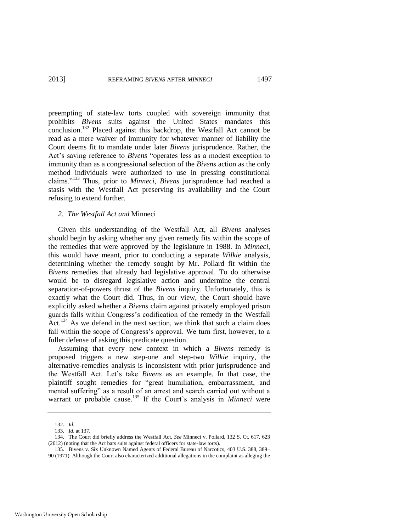preempting of state-law torts coupled with sovereign immunity that prohibits *Bivens* suits against the United States mandates this conclusion.<sup>132</sup> Placed against this backdrop, the Westfall Act cannot be read as a mere waiver of immunity for whatever manner of liability the Court deems fit to mandate under later *Bivens* jurisprudence. Rather, the Act's saving reference to *Bivens* "operates less as a modest exception to immunity than as a congressional selection of the *Bivens* action as the only method individuals were authorized to use in pressing constitutional claims."<sup>133</sup> Thus, prior to *Minneci*, *Bivens* jurisprudence had reached a stasis with the Westfall Act preserving its availability and the Court refusing to extend further.

#### *2. The Westfall Act and* Minneci

Given this understanding of the Westfall Act, all *Bivens* analyses should begin by asking whether any given remedy fits within the scope of the remedies that were approved by the legislature in 1988. In *Minneci*, this would have meant, prior to conducting a separate *Wilkie* analysis, determining whether the remedy sought by Mr. Pollard fit within the *Bivens* remedies that already had legislative approval. To do otherwise would be to disregard legislative action and undermine the central separation-of-powers thrust of the *Bivens* inquiry. Unfortunately, this is exactly what the Court did. Thus, in our view, the Court should have explicitly asked whether a *Bivens* claim against privately employed prison guards falls within Congress's codification of the remedy in the Westfall Act.<sup>134</sup> As we defend in the next section, we think that such a claim does fall within the scope of Congress's approval. We turn first, however, to a fuller defense of asking this predicate question.

Assuming that every new context in which a *Bivens* remedy is proposed triggers a new step-one and step-two *Wilkie* inquiry, the alternative-remedies analysis is inconsistent with prior jurisprudence and the Westfall Act. Let's take *Bivens* as an example. In that case, the plaintiff sought remedies for "great humiliation, embarrassment, and mental suffering" as a result of an arrest and search carried out without a warrant or probable cause.<sup>135</sup> If the Court's analysis in *Minneci* were

<sup>132.</sup> *Id*.

<sup>133.</sup> *Id*. at 137.

<sup>134.</sup> The Court did briefly address the Westfall Act. *See* Minneci v. Pollard, 132 S. Ct. 617, 623 (2012) (noting that the Act bars suits against federal officers for state-law torts).

<sup>135.</sup> Bivens v. Six Unknown Named Agents of Federal Bureau of Narcotics, 403 U.S. 388, 389– 90 (1971). Although the Court also characterized additional allegations in the complaint as alleging the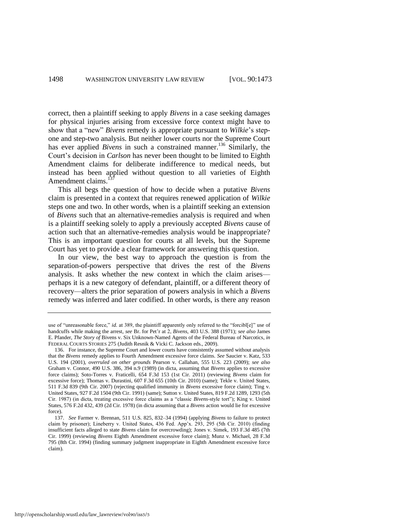correct, then a plaintiff seeking to apply *Bivens* in a case seeking damages for physical injuries arising from excessive force context might have to show that a "new" *Bivens* remedy is appropriate pursuant to *Wilkie*'s stepone and step-two analysis. But neither lower courts nor the Supreme Court has ever applied *Bivens* in such a constrained manner.<sup>136</sup> Similarly, the Court's decision in *Carlson* has never been thought to be limited to Eighth Amendment claims for deliberate indifference to medical needs, but instead has been applied without question to all varieties of Eighth Amendment claims.<sup>1</sup>

This all begs the question of how to decide when a putative *Bivens* claim is presented in a context that requires renewed application of *Wilkie* steps one and two. In other words, when is a plaintiff seeking an extension of *Bivens* such that an alternative-remedies analysis is required and when is a plaintiff seeking solely to apply a previously accepted *Bivens* cause of action such that an alternative-remedies analysis would be inappropriate? This is an important question for courts at all levels, but the Supreme Court has yet to provide a clear framework for answering this question.

In our view, the best way to approach the question is from the separation-of-powers perspective that drives the rest of the *Bivens* analysis. It asks whether the new context in which the claim arises perhaps it is a new category of defendant, plaintiff, or a different theory of recovery—alters the prior separation of powers analysis in which a *Bivens* remedy was inferred and later codified. In other words, is there any reason

use of "unreasonable force," *id.* at 389, the plaintiff apparently only referred to the "forcibl[e]" use of handcuffs while making the arrest, *see* Br. for Pet'r at 2, *Bivens*, 403 U.S. 388 (1971); *see also* James E. Pfander, *The Story of* Bivens v. Six Unknown-Named Agents of the Federal Bureau of Narcotics, *in*  FEDERAL COURTS STORIES 275 (Judith Resnik & Vicki C. Jackson eds., 2009).

<sup>136.</sup> For instance, the Supreme Court and lower courts have consistently assumed without analysis that the *Bivens* remedy applies to Fourth Amendment excessive force claims. *See* Saucier v. Katz, 533 U.S. 194 (2001), *overruled on other grounds* Pearson v. Callahan, 555 U.S. 223 (2009); *see also* Graham v. Connor, 490 U.S. 386, 394 n.9 (1989) (in dicta, assuming that *Bivens* applies to excessive force claims); Soto-Torres v. Fraticelli, 654 F.3d 153 (1st Cir. 2011) (reviewing *Bivens* claim for excessive force); Thomas v. Durastini, 607 F.3d 655 (10th Cir. 2010) (same); Tekle v. United States, 511 F.3d 839 (9th Cir. 2007) (rejecting qualified immunity in *Bivens* excessive force claim); Ting v. United States, 927 F.2d 1504 (9th Cir. 1991) (same); Sutton v. United States, 819 F.2d 1289, 1293 (5th Cir. 1987) (in dicta, treating excessive force claims as a "classic *Bivens*-style tort"); King v. United States, 576 F.2d 432, 439 (2d Cir. 1978) (in dicta assuming that a *Bivens* action would lie for excessive force).

<sup>137.</sup> *See* Farmer v. Brennan, 511 U.S. 825, 832–34 (1994) (applying *Bivens* to failure to protect claim by prisoner); Lineberry v. United States, 436 Fed. App'x. 293, 295 (5th Cir. 2010) (finding insufficient facts alleged to state *Bivens* claim for overcrowding); Jones v. Simek, 193 F.3d 485 (7th Cir. 1999) (reviewing *Bivens* Eighth Amendment excessive force claim); Munz v. Michael, 28 F.3d 795 (8th Cir. 1994) (finding summary judgment inappropriate in Eighth Amendment excessive force claim).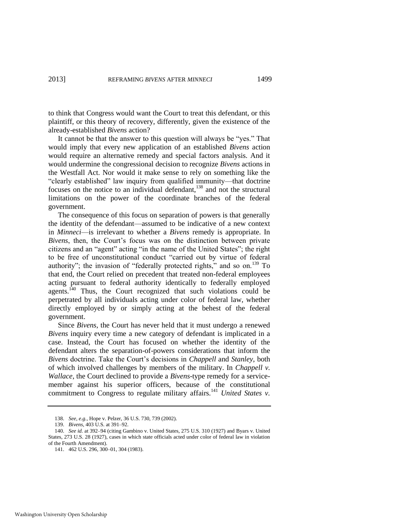to think that Congress would want the Court to treat this defendant, or this plaintiff, or this theory of recovery, differently, given the existence of the already-established *Bivens* action?

It cannot be that the answer to this question will always be "yes." That would imply that every new application of an established *Bivens* action would require an alternative remedy and special factors analysis. And it would undermine the congressional decision to recognize *Bivens* actions in the Westfall Act. Nor would it make sense to rely on something like the ―clearly established‖ law inquiry from qualified immunity—that doctrine focuses on the notice to an individual defendant, $138$  and not the structural limitations on the power of the coordinate branches of the federal government.

The consequence of this focus on separation of powers is that generally the identity of the defendant—assumed to be indicative of a new context in *Minneci*—is irrelevant to whether a *Bivens* remedy is appropriate. In *Bivens*, then, the Court's focus was on the distinction between private citizens and an "agent" acting "in the name of the United States"; the right to be free of unconstitutional conduct "carried out by virtue of federal authority"; the invasion of "federally protected rights," and so on.<sup>139</sup> To that end, the Court relied on precedent that treated non-federal employees acting pursuant to federal authority identically to federally employed agents.<sup>140</sup> Thus, the Court recognized that such violations could be perpetrated by all individuals acting under color of federal law, whether directly employed by or simply acting at the behest of the federal government.

Since *Bivens*, the Court has never held that it must undergo a renewed *Bivens* inquiry every time a new category of defendant is implicated in a case. Instead, the Court has focused on whether the identity of the defendant alters the separation-of-powers considerations that inform the *Bivens* doctrine. Take the Court's decisions in *Chappell* and *Stanley*, both of which involved challenges by members of the military. In *Chappell v. Wallace*, the Court declined to provide a *Bivens*-type remedy for a servicemember against his superior officers, because of the constitutional commitment to Congress to regulate military affairs.<sup>141</sup> *United States v.* 

<sup>138.</sup> *See, e.g.*, Hope v. Pelzer, 36 U.S. 730, 739 (2002).

<sup>139.</sup> *Bivens*, 403 U.S. at 391–92.

<sup>140.</sup> *See id.* at 392–94 (citing Gambino v. United States, 275 U.S. 310 (1927) and Byars v. United States, 273 U.S. 28 (1927), cases in which state officials acted under color of federal law in violation of the Fourth Amendment).

<sup>141. 462</sup> U.S. 296, 300–01, 304 (1983).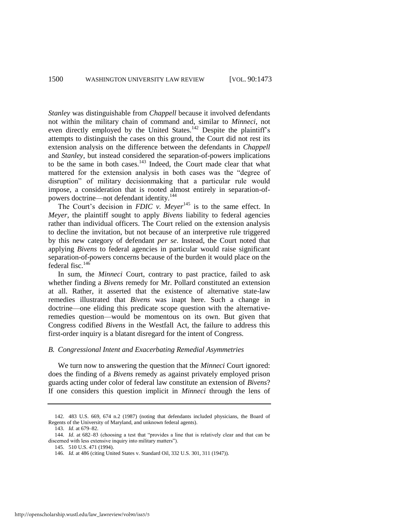*Stanley* was distinguishable from *Chappell* because it involved defendants not within the military chain of command and, similar to *Minneci*, not even directly employed by the United States.<sup>142</sup> Despite the plaintiff's attempts to distinguish the cases on this ground, the Court did not rest its extension analysis on the difference between the defendants in *Chappell* and *Stanley*, but instead considered the separation-of-powers implications to be the same in both cases. $143$  Indeed, the Court made clear that what mattered for the extension analysis in both cases was the "degree of disruption" of military decision making that a particular rule would impose, a consideration that is rooted almost entirely in separation-ofpowers doctrine—not defendant identity.<sup>144</sup>

The Court's decision in *FDIC v. Meyer*<sup>145</sup> is to the same effect. In *Meyer*, the plaintiff sought to apply *Bivens* liability to federal agencies rather than individual officers. The Court relied on the extension analysis to decline the invitation, but not because of an interpretive rule triggered by this new category of defendant *per se*. Instead, the Court noted that applying *Bivens* to federal agencies in particular would raise significant separation-of-powers concerns because of the burden it would place on the federal fisc.<sup>146</sup>

In sum, the *Minneci* Court, contrary to past practice, failed to ask whether finding a *Bivens* remedy for Mr. Pollard constituted an extension at all. Rather, it asserted that the existence of alternative state-law remedies illustrated that *Bivens* was inapt here. Such a change in doctrine—one eliding this predicate scope question with the alternativeremedies question—would be momentous on its own. But given that Congress codified *Bivens* in the Westfall Act, the failure to address this first-order inquiry is a blatant disregard for the intent of Congress.

#### *B. Congressional Intent and Exacerbating Remedial Asymmetries*

We turn now to answering the question that the *Minneci* Court ignored: does the finding of a *Bivens* remedy as against privately employed prison guards acting under color of federal law constitute an extension of *Bivens*? If one considers this question implicit in *Minneci* through the lens of

<sup>142. 483</sup> U.S. 669, 674 n.2 (1987) (noting that defendants included physicians, the Board of Regents of the University of Maryland, and unknown federal agents).

<sup>143.</sup> *Id*. at 679–82.

<sup>144.</sup> *Id.* at 682–83 (choosing a test that "provides a line that is relatively clear and that can be discerned with less extensive inquiry into military matters").

<sup>145. 510</sup> U.S. 471 (1994).

<sup>146.</sup> *Id.* at 486 (citing United States v. Standard Oil, 332 U.S. 301, 311 (1947)).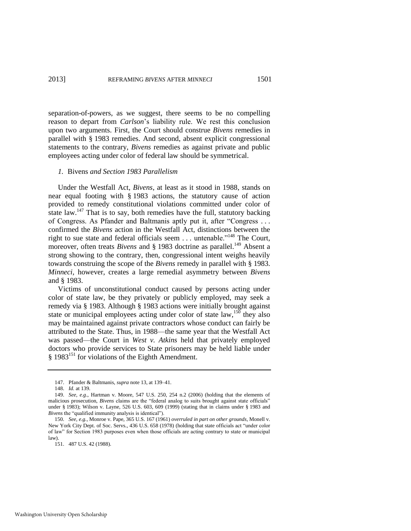separation-of-powers, as we suggest, there seems to be no compelling reason to depart from *Carlson*'s liability rule. We rest this conclusion upon two arguments. First, the Court should construe *Bivens* remedies in parallel with § 1983 remedies. And second, absent explicit congressional statements to the contrary, *Bivens* remedies as against private and public employees acting under color of federal law should be symmetrical.

#### *1.* Bivens *and Section 1983 Parallelism*

Under the Westfall Act, *Bivens*, at least as it stood in 1988, stands on near equal footing with § 1983 actions, the statutory cause of action provided to remedy constitutional violations committed under color of state law.<sup>147</sup> That is to say, both remedies have the full, statutory backing of Congress. As Pfander and Baltmanis aptly put it, after "Congress ... confirmed the *Bivens* action in the Westfall Act, distinctions between the right to sue state and federal officials seem  $\dots$  untenable.<sup>7148</sup> The Court, moreover, often treats *Bivens* and § 1983 doctrine as parallel.<sup>149</sup> Absent a strong showing to the contrary, then, congressional intent weighs heavily towards construing the scope of the *Bivens* remedy in parallel with § 1983. *Minneci*, however, creates a large remedial asymmetry between *Bivens* and § 1983.

Victims of unconstitutional conduct caused by persons acting under color of state law, be they privately or publicly employed, may seek a remedy via § 1983. Although § 1983 actions were initially brought against state or municipal employees acting under color of state law,  $150$  they also may be maintained against private contractors whose conduct can fairly be attributed to the State. Thus, in 1988—the same year that the Westfall Act was passed—the Court in *West v. Atkins* held that privately employed doctors who provide services to State prisoners may be held liable under  $§$  1983<sup>151</sup> for violations of the Eighth Amendment.

151. 487 U.S. 42 (1988).

<sup>147.</sup> Pfander & Baltmanis, *supra* note [13,](#page-4-0) at 139–41.

<sup>148.</sup> *Id.* at 139.

<sup>149.</sup> *See, e.g*., Hartman v. Moore, 547 U.S. 250, 254 n.2 (2006) (holding that the elements of malicious prosecution, *Bivens* claims are the "federal analog to suits brought against state officials" under § 1983); Wilson v. Layne, 526 U.S. 603, 609 (1999) (stating that in claims under § 1983 and *Bivens* the "qualified immunity analysis is identical").

<sup>150.</sup> *See, e.g.*, Monroe v. Pape, 365 U.S. 167 (1961) *overruled in part on other grounds*, Monell v. New York City Dept. of Soc. Servs., 436 U.S. 658 (1978) (holding that state officials act "under color of law" for Section 1983 purposes even when those officials are acting contrary to state or municipal law).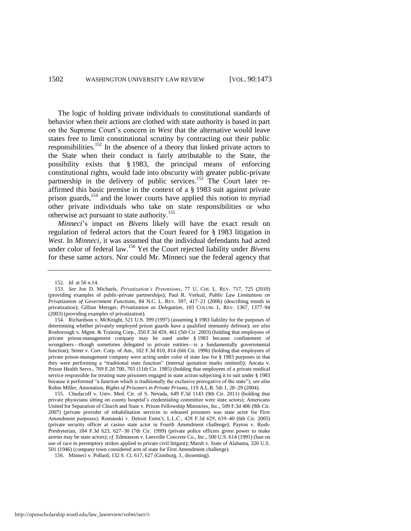The logic of holding private individuals to constitutional standards of behavior when their actions are clothed with state authority is based in part on the Supreme Court's concern in *West* that the alternative would leave states free to limit constitutional scrutiny by contracting out their public responsibilities.<sup>152</sup> In the absence of a theory that linked private actors to the State when their conduct is fairly attributable to the State, the possibility exists that § 1983, the principal means of enforcing constitutional rights, would fade into obscurity with greater public-private partnership in the delivery of public services.<sup>153</sup> The Court later reaffirmed this basic premise in the context of a § 1983 suit against private prison guards,<sup>154</sup> and the lower courts have applied this notion to myriad other private individuals who take on state responsibilities or who otherwise act pursuant to state authority.<sup>155</sup>

<span id="page-30-0"></span>*Minneci*'s impact on *Bivens* likely will have the exact result on regulation of federal actors that the Court feared for § 1983 litigation in *West*. In *Minneci*, it was assumed that the individual defendants had acted under color of federal law.<sup>156</sup> Yet the Court rejected liability under *Bivens* for these same actors. Nor could Mr. Minneci sue the federal agency that

<sup>152.</sup> *Id.* at 56 n.14.

<sup>153.</sup> *See* Jon D. Michaels, *Privatization's Pretensions*, 77 U. CHI. L. REV. 717, 725 (2010) (providing examples of public-private partnerships); Paul R. Verkuil, *Public Law Limitations on Privatization of Government Functions*, 84 N.C. L. REV. 397, 417–21 (2006) (describing trends in privatization); Gillian Metzger, *Privatization as Delegation*, 103 COLUM. L. REV. 1367, 1377–94 (2003) (providing examples of privatization).

<sup>154.</sup> Richardson v. McKnight, 521 U.S. 399 (1997) (assuming § 1983 liability for the purposes of determining whether privately employed prison guards have a qualified immunity defense); *see also* Rosborough v. Mgmt. & Training Corp., 350 F.3d 459, 461 (5th Cir. 2003) (holding that employees of private prison-management company may be sued under § 1983 because confinement of wrongdoers—though sometimes delegated to private entities—is a fundamentally governmental function); Street v. Corr. Corp. of Am., 102 F.3d 810, 814 (6th Cir. 1996) (holding that employees of private prison-management company were acting under color of state law for § 1983 purposes in that they were performing a "traditional state function" (internal quotation marks omitted)); Ancata v. Prison Health Servs., 769 F.2d 700, 703 (11th Cir. 1985) (holding that employees of a private medical service responsible for treating state prisoners engaged in state action subjecting it to suit under § 1983 because it performed "a function which is traditionally the exclusive prerogative of the state"); *see also* Robin Miller, Annotation, *Rights of Prisoners in Private Prisons*, 119 A.L.R. 5th 1, 28–29 (2004).

<sup>155.</sup> Chudacoff v. Univ. Med. Ctr. of S. Nevada, 649 F.3d 1143 (9th Cir. 2011) (holding that private physicians sitting on county hospital's credentialing committee were state actors); Americans United for Separation of Church and State v. Prison Fellowship Ministries, Inc., 509 F.3d 406 (8th Cir. 2007) (private provider of rehabilitation services to released prisoners was state actor for First Amendment purposes); Romanski v. Detroit Entm't, L.L.C., 428 F.3d 629, 639–40 (6th Cir. 2005) (private security officer at casino state actor in Fourth Amendment challenge); Payton v. Rush-Presbyterian, 184 F.3d 623, 627–30 (7th Cir. 1999) (private police officers given power to make arrests may be state actors); *cf.* Edmonson v. Leesville Concrete Co., Inc., 500 U.S. 614 (1991) (ban on use of race in peremptory strikes applied to private civil litigant); Marsh v. State of Alabama, 326 U.S. 501 (1946) (company town considered arm of state for First Amendment challenge).

<sup>156.</sup> Minneci v. Pollard, 132 S. Ct. 617, 627 (Ginsburg. J., dissenting).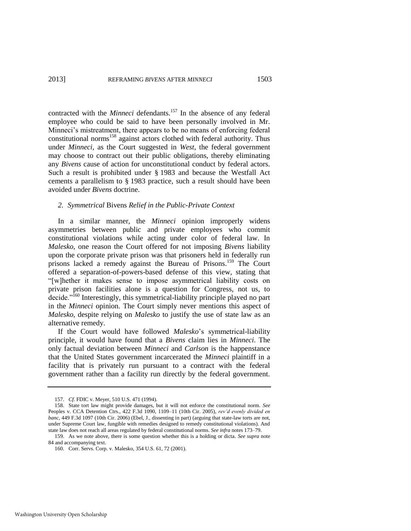contracted with the *Minneci* defendants.<sup>157</sup> In the absence of any federal employee who could be said to have been personally involved in Mr. Minneci's mistreatment, there appears to be no means of enforcing federal constitutional norms<sup>158</sup> against actors clothed with federal authority. Thus under *Minneci*, as the Court suggested in *West*, the federal government may choose to contract out their public obligations, thereby eliminating any *Bivens* cause of action for unconstitutional conduct by federal actors. Such a result is prohibited under § 1983 and because the Westfall Act cements a parallelism to § 1983 practice, such a result should have been avoided under *Bivens* doctrine.

#### *2. Symmetrical* Bivens *Relief in the Public-Private Context*

In a similar manner, the *Minneci* opinion improperly widens asymmetries between public and private employees who commit constitutional violations while acting under color of federal law. In *Malesko*, one reason the Court offered for not imposing *Bivens* liability upon the corporate private prison was that prisoners held in federally run prisons lacked a remedy against the Bureau of Prisons.<sup>159</sup> The Court offered a separation-of-powers-based defense of this view, stating that ―[w]hether it makes sense to impose asymmetrical liability costs on private prison facilities alone is a question for Congress, not us, to decide."<sup>160</sup> Interestingly, this symmetrical-liability principle played no part in the *Minneci* opinion. The Court simply never mentions this aspect of *Malesko*, despite relying on *Malesko* to justify the use of state law as an alternative remedy.

If the Court would have followed *Malesko*'s symmetrical-liability principle, it would have found that a *Bivens* claim lies in *Minneci*. The only factual deviation between *Minneci* and *Carlson* is the happenstance that the United States government incarcerated the *Minneci* plaintiff in a facility that is privately run pursuant to a contract with the federal government rather than a facility run directly by the federal government.

<sup>157.</sup> *Cf.* FDIC v. Meyer, 510 U.S. 471 (1994).

<sup>158.</sup> State tort law might provide damages, but it will not enforce the constitutional norm. *See* Peoples v. CCA Detention Ctrs., 422 F.3d 1090, 1109–11 (10th Cir. 2005), *rev'd evenly divided en banc*, 449 F.3d 1097 (10th Cir. 2006) (Ebel, J., dissenting in part) (arguing that state-law torts are not, under Supreme Court law, fungible with remedies designed to remedy constitutional violations). And state law does not reach all areas regulated by federal constitutional norms. *See infra* note[s 173–](#page-35-0)79.

<sup>159.</sup> As we note above, there is some question whether this is a holding or dicta. *See supra* note [84](#page-16-0) and accompanying text.

<sup>160.</sup> Corr. Servs. Corp. v. Malesko, 354 U.S. 61, 72 (2001).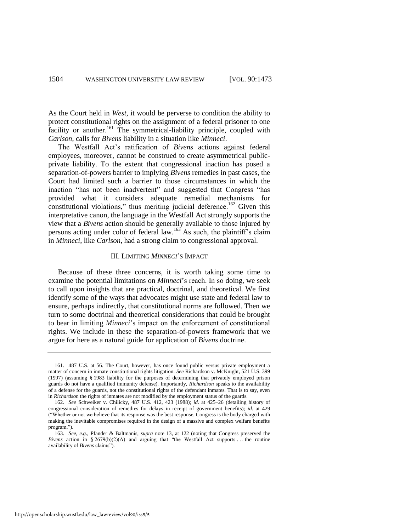As the Court held in *West*, it would be perverse to condition the ability to protect constitutional rights on the assignment of a federal prisoner to one facility or another.<sup>161</sup> The symmetrical-liability principle, coupled with *Carlson*, calls for *Bivens* liability in a situation like *Minneci*.

The Westfall Act's ratification of *Bivens* actions against federal employees, moreover, cannot be construed to create asymmetrical publicprivate liability. To the extent that congressional inaction has posed a separation-of-powers barrier to implying *Bivens* remedies in past cases, the Court had limited such a barrier to those circumstances in which the inaction "has not been inadvertent" and suggested that Congress "has provided what it considers adequate remedial mechanisms for constitutional violations," thus meriting judicial deference.<sup>162</sup> Given this interpretative canon, the language in the Westfall Act strongly supports the view that a *Bivens* action should be generally available to those injured by persons acting under color of federal law.<sup>163</sup> As such, the plaintiff's claim in *Minneci*, like *Carlson*, had a strong claim to congressional approval.

#### III. LIMITING *MINNECI*'S IMPACT

Because of these three concerns, it is worth taking some time to examine the potential limitations on *Minneci*'s reach. In so doing, we seek to call upon insights that are practical, doctrinal, and theoretical. We first identify some of the ways that advocates might use state and federal law to ensure, perhaps indirectly, that constitutional norms are followed. Then we turn to some doctrinal and theoretical considerations that could be brought to bear in limiting *Minneci*'s impact on the enforcement of constitutional rights. We include in these the separation-of-powers framework that we argue for here as a natural guide for application of *Bivens* doctrine.

<sup>161. 487</sup> U.S. at 56. The Court, however, has once found public versus private employment a matter of concern in inmate constitutional rights litigation. *See* Richardson v. McKnight, 521 U.S. 399 (1997) (assuming § 1983 liability for the purposes of determining that privately employed prison guards do not have a qualified immunity defense). Importantly, *Richardson* speaks to the availability of a defense for the guards, not the constitutional rights of the defendant inmates. That is to say, even in *Richardson* the rights of inmates are not modified by the employment status of the guards.

<sup>162.</sup> *See* Schweiker v. Chilicky, 487 U.S. 412, 423 (1988); *id*. at 425–26 (detailing history of congressional consideration of remedies for delays in receipt of government benefits); *id*. at 429 (―Whether or not we believe that its response was the best response, Congress is the body charged with making the inevitable compromises required in the design of a massive and complex welfare benefits program.").

<sup>163.</sup> *See, e.g*., Pfander & Baltmanis, *supra* note [13,](#page-4-0) at 122 (noting that Congress preserved the *Bivens* action in § 2679(b)(2)(A) and arguing that "the Westfall Act supports . . . the routine availability of *Bivens* claims").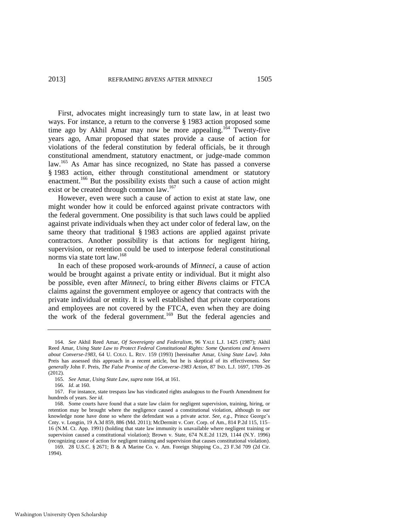<span id="page-33-0"></span>First, advocates might increasingly turn to state law, in at least two ways. For instance, a return to the converse § 1983 action proposed some time ago by Akhil Amar may now be more appealing.<sup>164</sup> Twenty-five years ago, Amar proposed that states provide a cause of action for violations of the federal constitution by federal officials, be it through constitutional amendment, statutory enactment, or judge-made common law.<sup>165</sup> As Amar has since recognized, no State has passed a converse § 1983 action, either through constitutional amendment or statutory enactment.<sup>166</sup> But the possibility exists that such a cause of action might exist or be created through common law.<sup>167</sup>

However, even were such a cause of action to exist at state law, one might wonder how it could be enforced against private contractors with the federal government. One possibility is that such laws could be applied against private individuals when they act under color of federal law, on the same theory that traditional § 1983 actions are applied against private contractors. Another possibility is that actions for negligent hiring, supervision, or retention could be used to interpose federal constitutional norms via state tort law.<sup>168</sup>

In each of these proposed work-arounds of *Minneci*, a cause of action would be brought against a private entity or individual. But it might also be possible, even after *Minneci*, to bring either *Bivens* claims or FTCA claims against the government employee or agency that contracts with the private individual or entity. It is well established that private corporations and employees are not covered by the FTCA, even when they are doing the work of the federal government.<sup>169</sup> But the federal agencies and

<sup>164.</sup> *See* Akhil Reed Amar, *Of Sovereignty and Federalism*, 96 YALE L.J. 1425 (1987); Akhil Reed Amar, *Using State Law to Protect Federal Constitutional Rights: Some Questions and Answers about Converse-1983*, 64 U. COLO. L. REV. 159 (1993) [hereinafter Amar, *Using State Law*]. John Preis has assessed this approach in a recent article, but he is skeptical of its effectiveness. *See generally* John F. Preis, *The False Promise of the Converse-1983 Action*, 87 IND. L.J. 1697, 1709–26 (2012).

<sup>165.</sup> *See* Amar, *Using State Law*, *supra* not[e 164,](#page-33-0) at 161.

<sup>166.</sup> *Id*. at 160.

<sup>167.</sup> For instance, state trespass law has vindicated rights analogous to the Fourth Amendment for hundreds of years. *See id*.

<sup>168.</sup> Some courts have found that a state law claim for negligent supervision, training, hiring, or retention may be brought where the negligence caused a constitutional violation, although to our knowledge none have done so where the defendant was a private actor. *See, e.g.*, Prince George's Cnty. v. Longtin, 19 A.3d 859, 886 (Md. 2011); McDermitt v. Corr. Corp. of Am., 814 P.2d 115, 115– 16 (N.M. Ct. App. 1991) (holding that state law immunity is unavailable where negligent training or supervision caused a constitutional violation); Brown v. State, 674 N.E.2d 1129, 1144 (N.Y. 1996) (recognizing cause of action for negligent training and supervision that causes constitutional violation). 169. 28 U.S.C. § 2671; B & A Marine Co. v. Am. Foreign Shipping Co., 23 F.3d 709 (2d Cir.

<sup>1994).</sup>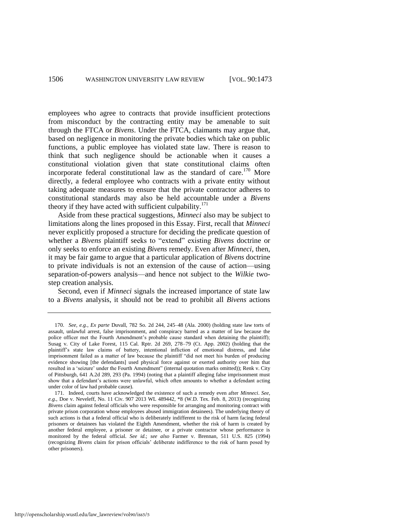employees who agree to contracts that provide insufficient protections from misconduct by the contracting entity may be amenable to suit through the FTCA or *Bivens*. Under the FTCA, claimants may argue that, based on negligence in monitoring the private bodies which take on public functions, a public employee has violated state law. There is reason to think that such negligence should be actionable when it causes a constitutional violation given that state constitutional claims often incorporate federal constitutional law as the standard of care.<sup>170</sup> More directly, a federal employee who contracts with a private entity without taking adequate measures to ensure that the private contractor adheres to constitutional standards may also be held accountable under a *Bivens* theory if they have acted with sufficient culpability. $171$ 

Aside from these practical suggestions, *Minneci* also may be subject to limitations along the lines proposed in this Essay. First, recall that *Minneci* never explicitly proposed a structure for deciding the predicate question of whether a *Bivens* plaintiff seeks to "extend" existing *Bivens* doctrine or only seeks to enforce an existing *Bivens* remedy. Even after *Minneci*, then, it may be fair game to argue that a particular application of *Bivens* doctrine to private individuals is not an extension of the cause of action—using separation-of-powers analysis—and hence not subject to the *Wilkie* twostep creation analysis.

Second, even if *Minneci* signals the increased importance of state law to a *Bivens* analysis, it should not be read to prohibit all *Bivens* actions

<sup>170.</sup> *See, e.g.*, *Ex parte* Duvall, 782 So. 2d 244, 245–48 (Ala. 2000) (holding state law torts of assault, unlawful arrest, false imprisonment, and conspiracy barred as a matter of law because the police officer met the Fourth Amendment's probable cause standard when detaining the plaintiff); Susag v. City of Lake Forest, 115 Cal. Rptr. 2d 269, 278–79 (Ct. App. 2002) (holding that the plaintiff's state law claims of battery, intentional infliction of emotional distress, and false imprisonment failed as a matter of law because the plaintiff "did not meet his burden of producing evidence showing [the defendants] used physical force against or exerted authority over him that resulted in a 'seizure' under the Fourth Amendment'' (internal quotation marks omitted)); Renk v. City of Pittsburgh, 641 A.2d 289, 293 (Pa. 1994) (noting that a plaintiff alleging false imprisonment must show that a defendant's actions were unlawful, which often amounts to whether a defendant acting under color of law had probable cause).

<sup>171.</sup> Indeed, courts have acknowledged the existence of such a remedy even after *Minneci*. *See*, *e.g.*, Doe v. Neveleff, No. 11 Civ. 907 2013 WL 489442, \*8 (W.D. Tex. Feb. 8, 2013) (recognizing *Bivens* claim against federal officials who were responsible for arranging and monitoring contract with private prison corporation whose employees abused immigration detainees). The underlying theory of such actions is that a federal official who is deliberately indifferent to the risk of harm facing federal prisoners or detainees has violated the Eighth Amendment, whether the risk of harm is created by another federal employee, a prisoner or detainee, or a private contractor whose performance is monitored by the federal official. *See id.*; *see also* Farmer v. Brennan, 511 U.S. 825 (1994) (recognizing *Bivens* claim for prison officials' deliberate indifference to the risk of harm posed by other prisoners).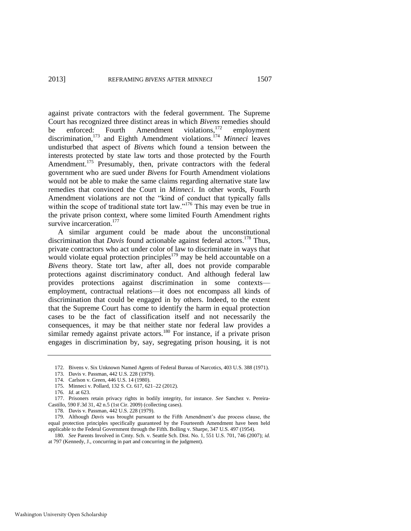<span id="page-35-0"></span>against private contractors with the federal government. The Supreme Court has recognized three distinct areas in which *Bivens* remedies should be enforced: Fourth Amendment violations,<sup>172</sup> employment discrimination,<sup>173</sup> and Eighth Amendment violations.<sup>174</sup> *Minneci* leaves undisturbed that aspect of *Bivens* which found a tension between the interests protected by state law torts and those protected by the Fourth Amendment.<sup>175</sup> Presumably, then, private contractors with the federal government who are sued under *Bivens* for Fourth Amendment violations would not be able to make the same claims regarding alternative state law remedies that convinced the Court in *Minneci*. In other words, Fourth Amendment violations are not the "kind of conduct that typically falls within the scope of traditional state tort law."<sup>176</sup> This may even be true in the private prison context, where some limited Fourth Amendment rights survive incarceration.<sup>177</sup>

A similar argument could be made about the unconstitutional discrimination that *Davis* found actionable against federal actors.<sup>178</sup> Thus, private contractors who act under color of law to discriminate in ways that would violate equal protection principles<sup>179</sup> may be held accountable on a *Bivens* theory. State tort law, after all, does not provide comparable protections against discriminatory conduct. And although federal law provides protections against discrimination in some contexts employment, contractual relations—it does not encompass all kinds of discrimination that could be engaged in by others. Indeed, to the extent that the Supreme Court has come to identify the harm in equal protection cases to be the fact of classification itself and not necessarily the consequences, it may be that neither state nor federal law provides a similar remedy against private actors.<sup>180</sup> For instance, if a private prison engages in discrimination by, say, segregating prison housing, it is not

179. Although *Davis* was brought pursuant to the Fifth Amendment's due process clause, the equal protection principles specifically guaranteed by the Fourteenth Amendment have been held applicable to the Federal Government through the Fifth. Bolling v. Sharpe, 347 U.S. 497 (1954).

180. *See* Parents Involved in Cmty. Sch. v. Seattle Sch. Dist. No. 1, 551 U.S. 701, 746 (2007); *id.* at 797 (Kennedy, J., concurring in part and concurring in the judgment).

<sup>172.</sup> Bivens v. Six Unknown Named Agents of Federal Bureau of Narcotics, 403 U.S. 388 (1971).

<sup>173.</sup> Davis v. Passman, 442 U.S. 228 (1979).

<sup>174.</sup> Carlson v. Green, 446 U.S. 14 (1980).

<sup>175.</sup> Minneci v. Pollard, 132 S. Ct. 617, 621–22 (2012).

<sup>176.</sup> *Id*. at 623.

<sup>177.</sup> Prisoners retain privacy rights in bodily integrity, for instance. *See* Sanchez v. Pereira-Castillo, 590 F.3d 31, 42 n.5 (1st Cir. 2009) (collecting cases).

<sup>178.</sup> Davis v. Passman, 442 U.S. 228 (1979).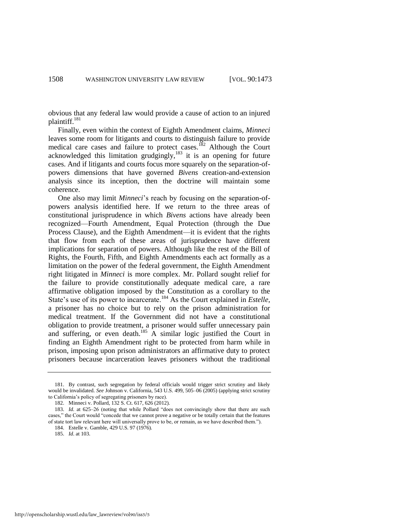obvious that any federal law would provide a cause of action to an injured plaintiff.<sup>181</sup>

Finally, even within the context of Eighth Amendment claims, *Minneci* leaves some room for litigants and courts to distinguish failure to provide medical care cases and failure to protect cases.<sup>182</sup> Although the Court acknowledged this limitation grudgingly, $183$  it is an opening for future cases. And if litigants and courts focus more squarely on the separation-ofpowers dimensions that have governed *Bivens* creation-and-extension analysis since its inception, then the doctrine will maintain some coherence.

One also may limit *Minneci*'s reach by focusing on the separation-ofpowers analysis identified here. If we return to the three areas of constitutional jurisprudence in which *Bivens* actions have already been recognized—Fourth Amendment, Equal Protection (through the Due Process Clause), and the Eighth Amendment—it is evident that the rights that flow from each of these areas of jurisprudence have different implications for separation of powers. Although like the rest of the Bill of Rights, the Fourth, Fifth, and Eighth Amendments each act formally as a limitation on the power of the federal government, the Eighth Amendment right litigated in *Minneci* is more complex. Mr. Pollard sought relief for the failure to provide constitutionally adequate medical care, a rare affirmative obligation imposed by the Constitution as a corollary to the State's use of its power to incarcerate.<sup>184</sup> As the Court explained in *Estelle*, a prisoner has no choice but to rely on the prison administration for medical treatment. If the Government did not have a constitutional obligation to provide treatment, a prisoner would suffer unnecessary pain and suffering, or even death.<sup>185</sup> A similar logic justified the Court in finding an Eighth Amendment right to be protected from harm while in prison, imposing upon prison administrators an affirmative duty to protect prisoners because incarceration leaves prisoners without the traditional

<sup>181.</sup> By contrast, such segregation by federal officials would trigger strict scrutiny and likely would be invalidated. *See* Johnson v. California, 543 U.S. 499, 505–06 (2005) (applying strict scrutiny to California's policy of segregating prisoners by race).

<sup>182.</sup> Minneci v. Pollard, 132 S. Ct. 617, 626 (2012).

<sup>183.</sup> *Id.* at 625–26 (noting that while Pollard "does not convincingly show that there are such cases," the Court would "concede that we cannot prove a negative or be totally certain that the features of state tort law relevant here will universally prove to be, or remain, as we have described them.").

<sup>184.</sup> Estelle v. Gamble, 429 U.S. 97 (1976).

<sup>185.</sup> *Id*. at 103.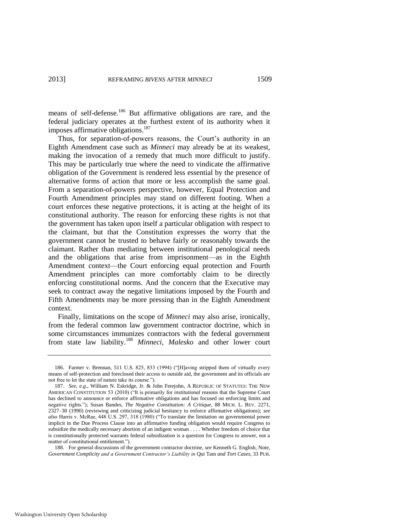means of self-defense.<sup>186</sup> But affirmative obligations are rare, and the federal judiciary operates at the furthest extent of its authority when it imposes affirmative obligations.<sup>187</sup>

Thus, for separation-of-powers reasons, the Court's authority in an Eighth Amendment case such as *Minneci* may already be at its weakest, making the invocation of a remedy that much more difficult to justify. This may be particularly true where the need to vindicate the affirmative obligation of the Government is rendered less essential by the presence of alternative forms of action that more or less accomplish the same goal. From a separation-of-powers perspective, however, Equal Protection and Fourth Amendment principles may stand on different footing. When a court enforces these negative protections, it is acting at the height of its constitutional authority. The reason for enforcing these rights is not that the government has taken upon itself a particular obligation with respect to the claimant, but that the Constitution expresses the worry that the government cannot be trusted to behave fairly or reasonably towards the claimant. Rather than mediating between institutional penological needs and the obligations that arise from imprisonment—as in the Eighth Amendment context—the Court enforcing equal protection and Fourth Amendment principles can more comfortably claim to be directly enforcing constitutional norms. And the concern that the Executive may seek to contract away the negative limitations imposed by the Fourth and Fifth Amendments may be more pressing than in the Eighth Amendment context.

Finally, limitations on the scope of *Minneci* may also arise, ironically, from the federal common law government contractor doctrine, which in some circumstances immunizes contractors with the federal government from state law liability.<sup>188</sup> *Minneci*, *Malesko* and other lower court

<sup>186.</sup> Farmer v. Brennan, 511 U.S. 825, 833 (1994) ("[H]aving stripped them of virtually every means of self-protection and foreclosed their access to outside aid, the government and its officials are not free to let the state of nature take its course.").

<sup>187.</sup> *See, e.g*., William N. Eskridge, Jr. & John Ferejohn, A REPUBLIC OF STATUTES: THE NEW AMERICAN CONSTITUTION 53 (2010) ("It is primarily for *institutional* reasons that the Supreme Court has declined to announce or enforce affirmative obligations and has focused on enforcing limits and negative rights.‖); Susan Bandes, *The Negative Constitution: A Critique*, 88 MICH. L. REV. 2271, 2327–30 (1990) (reviewing and criticizing judicial hesitancy to enforce affirmative obligations); *see*  also Harris v. McRae, 448 U.S. 297, 318 (1980) ("To translate the limitation on governmental power implicit in the Due Process Clause into an affirmative funding obligation would require Congress to subsidize the medically necessary abortion of an indigent woman . . . . Whether freedom of choice that is constitutionally protected warrants federal subsidization is a question for Congress to answer, not a matter of constitutional entitlement.").

<sup>188.</sup> For general discussions of the government contractor doctrine, *see* Kenneth G. English, Note, *Government Complicity and a Government Contractor's Liability in* Qui Tam *and Tort Cases*, 33 PUB.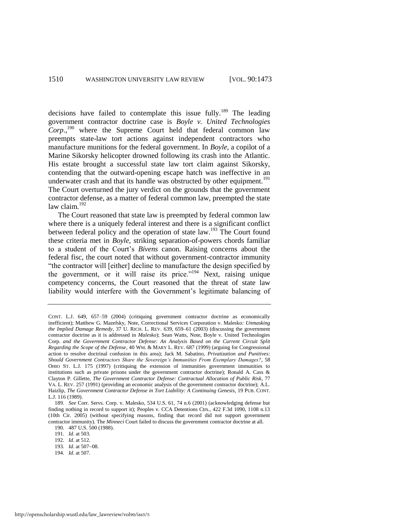decisions have failed to contemplate this issue fully.<sup>189</sup> The leading government contractor doctrine case is *Boyle v. United Technologies Corp*., <sup>190</sup> where the Supreme Court held that federal common law preempts state-law tort actions against independent contractors who manufacture munitions for the federal government. In *Boyle*, a copilot of a Marine Sikorsky helicopter drowned following its crash into the Atlantic. His estate brought a successful state law tort claim against Sikorsky, contending that the outward-opening escape hatch was ineffective in an underwater crash and that its handle was obstructed by other equipment.<sup>191</sup> The Court overturned the jury verdict on the grounds that the government contractor defense, as a matter of federal common law, preempted the state law claim.<sup>192</sup>

The Court reasoned that state law is preempted by federal common law where there is a uniquely federal interest and there is a significant conflict between federal policy and the operation of state law.<sup>193</sup> The Court found these criteria met in *Boyle*, striking separation-of-powers chords familiar to a student of the Court's *Bivens* canon. Raising concerns about the federal fisc, the court noted that without government-contractor immunity "the contractor will [either] decline to manufacture the design specified by the government, or it will raise its price."<sup>194</sup> Next, raising unique competency concerns, the Court reasoned that the threat of state law liability would interfere with the Government's legitimate balancing of

190. 487 U.S. 500 (1988).

- 193. *Id.* at 507-08.
- 194. *Id*. at 507.

CONT. L.J. 649, 657–59 (2004) (critiquing government contractor doctrine as economically inefficient); Matthew G. Mazefsky, Note, Correctional Services Corporation v. Malesko*: Unmasking the Implied Damage Remedy*, 37 U. RICH. L. REV. 639, 659–61 (2003) (discussing the government contractor doctrine as it is addressed in *Malesko*); Sean Watts, Note, Boyle v. United Technologies Corp. *and the Government Contractor Defense: An Analysis Based on the Current Circuit Split Regarding the Scope of the Defense*, 40 WM. & MARY L. REV. 687 (1999) (arguing for Congressional action to resolve doctrinal confusion in this area); Jack M. Sabatino, *Privatization and Punitives: Should Government Contractors Share the Sovereign's Immunities From Exemplary Damages?*, 58 OHIO ST. L.J. 175 (1997) (critiquing the extension of immunities government immunities to institutions such as private prisons under the government contractor doctrine); Ronald A. Cass & Clayton P. Gillette, *The Government Contractor Defense: Contractual Allocation of Public Risk*, 77 VA. L. REV. 257 (1991) (providing an economic analysis of the government contractor doctrine); A.L. Haizlip, *The Government Contractor Defense in Tort Liability: A Continuing Genesis*, 19 PUB. CONT. L.J. 116 (1989).

<sup>189.</sup> *See* Corr. Servs. Corp. v. Malesko, 534 U.S. 61, 74 n.6 (2001) (acknowledging defense but finding nothing in record to support it); Peoples v. CCA Detentions Ctrs., 422 F.3d 1090, 1108 n.13 (10th Cir. 2005) (without specifying reasons, finding that record did not support government contractor immunity). The *Minneci* Court failed to discuss the government contractor doctrine at all.

<sup>191.</sup> *Id*. at 503.

<sup>192.</sup> *Id*. at 512.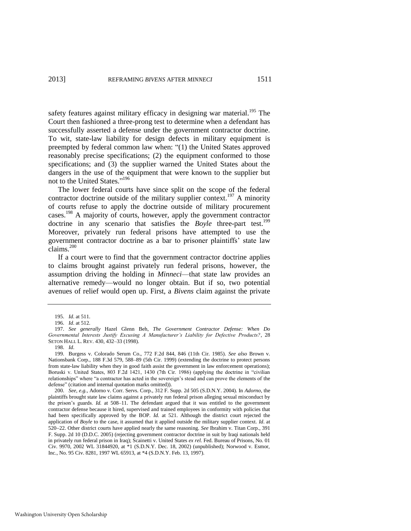safety features against military efficacy in designing war material.<sup>195</sup> The Court then fashioned a three-prong test to determine when a defendant has successfully asserted a defense under the government contractor doctrine. To wit, state-law liability for design defects in military equipment is preempted by federal common law when: "(1) the United States approved reasonably precise specifications; (2) the equipment conformed to those specifications; and (3) the supplier warned the United States about the dangers in the use of the equipment that were known to the supplier but not to the United States."<sup>196</sup>

The lower federal courts have since split on the scope of the federal contractor doctrine outside of the military supplier context.<sup>197</sup> A minority of courts refuse to apply the doctrine outside of military procurement cases.<sup>198</sup> A majority of courts, however, apply the government contractor doctrine in any scenario that satisfies the *Boyle* three-part test.<sup>199</sup> Moreover, privately run federal prisons have attempted to use the government contractor doctrine as a bar to prisoner plaintiffs' state law claims.<sup>200</sup>

If a court were to find that the government contractor doctrine applies to claims brought against privately run federal prisons, however, the assumption driving the holding in *Minneci*—that state law provides an alternative remedy—would no longer obtain. But if so, two potential avenues of relief would open up. First, a *Bivens* claim against the private

198. *Id*.

<sup>195.</sup> *Id*. at 511.

<sup>196.</sup> *Id*. at 512.

<sup>197.</sup> *See generally* Hazel Glenn Beh, *The Government Contractor Defense: When Do Governmental Interests Justify Excusing A Manufacturer's Liability for Defective Products?*, 28 SETON HALL L. REV. 430, 432–33 (1998).

<sup>199.</sup> Burgess v. Colorado Serum Co., 772 F.2d 844, 846 (11th Cir. 1985). *See also* Brown v. Nationsbank Corp., 188 F.3d 579, 588–89 (5th Cir. 1999) (extending the doctrine to protect persons from state-law liability when they in good faith assist the government in law enforcement operations); Boruski v. United States, 803 F.2d 1421, 1430 (7th Cir. 1986) (applying the doctrine in "civilian relationships" where "a contractor has acted in the sovereign's stead and can prove the elements of the defense" (citation and internal quotation marks omitted)).

<sup>200.</sup> *See, e.g.*, Adorno v. Corr. Servs. Corp., 312 F. Supp. 2d 505 (S.D.N.Y. 2004). In *Adorno*, the plaintiffs brought state law claims against a privately run federal prison alleging sexual misconduct by the prison's guards. *Id.* at 508–11. The defendant argued that it was entitled to the government contractor defense because it hired, supervised and trained employees in conformity with policies that had been specifically approved by the BOP. *Id.* at 521. Although the district court rejected the application of *Boyle* to the case, it assumed that it applied outside the military supplier context. *Id*. at 52022. Other district courts have applied nearly the same reasoning. *See* Ibrahim v. Titan Corp., 391 F. Supp. 2d 10 (D.D.C. 2005) (rejecting government contractor doctrine in suit by Iraqi nationals held in privately run federal prison in Iraq); Scainetti v. United States *ex rel.* Fed. Bureau of Prisons, No. 01 Civ. 9970, 2002 WL 31844920, at \*1 (S.D.N.Y. Dec. 18, 2002) (unpublished); Norwood v. Esmor, Inc., No. 95 Civ. 8281, 1997 WL 65913, at \*4 (S.D.N.Y. Feb. 13, 1997).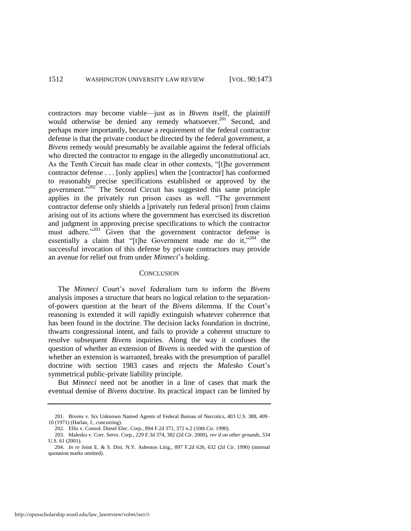contractors may become viable—just as in *Bivens* itself, the plaintiff would otherwise be denied any remedy whatsoever.<sup>201</sup> Second, and perhaps more importantly, because a requirement of the federal contractor defense is that the private conduct be directed by the federal government, a *Bivens* remedy would presumably be available against the federal officials who directed the contractor to engage in the allegedly unconstitutional act. As the Tenth Circuit has made clear in other contexts, "It the government contractor defense . . . [only applies] when the [contractor] has conformed to reasonably precise specifications established or approved by the government.<sup>3202</sup> The Second Circuit has suggested this same principle applies in the privately run prison cases as well. "The government contractor defense only shields a [privately run federal prison] from claims arising out of its actions where the government has exercised its discretion and judgment in approving precise specifications to which the contractor must adhere." $^{203}$  Given that the government contractor defense is essentially a claim that "[t]he Government made me do it,"<sup>204</sup> the successful invocation of this defense by private contractors may provide an avenue for relief out from under *Minneci*'s holding.

#### **CONCLUSION**

The *Minneci* Court's novel federalism turn to inform the *Bivens* analysis imposes a structure that bears no logical relation to the separationof-powers question at the heart of the *Bivens* dilemma. If the Court's reasoning is extended it will rapidly extinguish whatever coherence that has been found in the doctrine. The decision lacks foundation in doctrine, thwarts congressional intent, and fails to provide a coherent structure to resolve subsequent *Bivens* inquiries. Along the way it confuses the question of whether an extension of *Bivens* is needed with the question of whether an extension is warranted, breaks with the presumption of parallel doctrine with section 1983 cases and rejects the *Malesko* Court's symmetrical public-private liability principle.

But *Minneci* need not be another in a line of cases that mark the eventual demise of *Bivens* doctrine. Its practical impact can be limited by

<sup>201.</sup> Bivens v. Six Unknown Named Agents of Federal Bureau of Narcotics, 403 U.S. 388, 409– 10 (1971) (Harlan, J., concurring).

<sup>202.</sup> Ellis v. Consol. Diesel Elec. Corp., 894 F.2d 371, 372 n.2 (10th Cir. 1990).

<sup>203.</sup> Malesko v. Corr. Servs. Corp., 229 F.3d 374, 382 (2d Cir. 2000), *rev'd on other grounds*, 534 U.S. 61 (2001).

<sup>204.</sup> *In re* Joint E. & S. Dist. N.Y. Asbestos Litig., 897 F.2d 626, 632 (2d Cir. 1990) (internal quotation marks omitted).